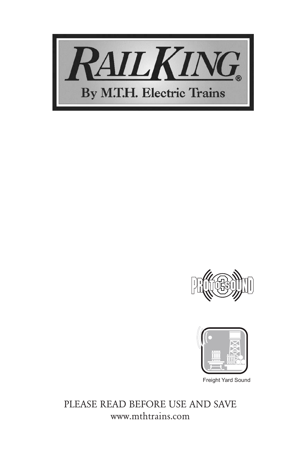





Freight Yard Sound

PLEASE READ BEFORE USE AND SAVE www.mthtrains.com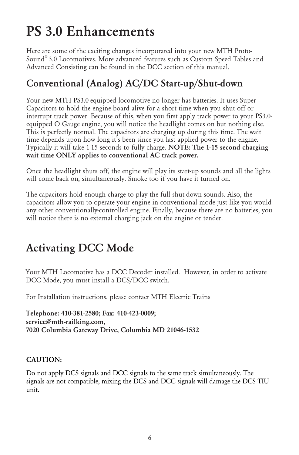# PS 3.0 Enhancements

Here are some of the exciting changes incorporated into your new MTH Proto- Sound<sup>®</sup> 3.0 Locomotives. More advanced features such as Custom Speed Tables and Advanced Consisting can be found in the DCC section of this manual.

## Conventional (Analog) AC/DC Start-up/Shut-down

Your new MTH PS3.0-equipped locomotive no longer has batteries. It uses Super Capacitors to hold the engine board alive for a short time when you shut off or interrupt track power. Because of this, when you first apply track power to your PS3.0 equipped O Gauge engine, you will notice the headlight comes on but nothing else. This is perfectly normal. The capacitors are charging up during this time. The wait time depends upon how long it's been since you last applied power to the engine. Typically it will take 1-15 seconds to fully charge. NOTE: The 1-15 second charging wait time ONLY applies to conventional AC track power.

Once the headlight shuts off, the engine will play its start-up sounds and all the lights will come back on, simultaneously. Smoke too if you have it turned on.

The capacitors hold enough charge to play the full shut-down sounds. Also, the capacitors allow you to operate your engine in conventional mode just like you would any other conventionally-controlled engine. Finally, because there are no batteries, you will notice there is no external charging jack on the engine or tender.

## Activating DCC Mode

Your MTH Locomotive has a DCC Decoder installed. However, in order to activate DCC Mode, you must install a DCS/DCC switch.

For Installation instructions, please contact MTH Electric Trains

Telephone: 410-381-2580; Fax: 410-423-0009; service@mth-railking.com, 7020 Columbia Gateway Drive, Columbia MD 21046-1532

### CAUTION:

Do not apply DCS signals and DCC signals to the same track simultaneously. The signals are not compatible, mixing the DCS and DCC signals will damage the DCS TIU unit.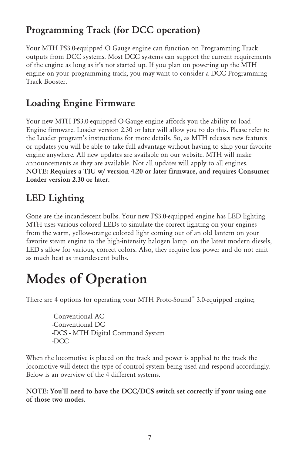## Programming Track (for DCC operation)

Your MTH PS3.0-equipped O Gauge engine can function on Programming Track outputs from DCC systems. Most DCC systems can support the current requirements of the engine as long as it's not started up. If you plan on powering up the MTH engine on your programming track, you may want to consider a DCC Programming Track Booster.

## Loading Engine Firmware

Your new MTH PS3.0-equipped O-Gauge engine affords you the ability to load Engine firmware. Loader version 2.30 or later will allow you to do this. Please refer to the Loader program's instructions for more details. So, as MTH releases new features or updates you will be able to take full advantage without having to ship your favorite engine anywhere. All new updates are available on our website. MTH will make announcements as they are available. Not all updates will apply to all engines. NOTE: Requires a TIU w/ version 4.20 or later firmware, and requires Consumer Loader version 2.30 or later.

## LED Lighting

Gone are the incandescent bulbs. Your new PS3.0-equipped engine has LED lighting. MTH uses various colored LEDs to simulate the correct lighting on your engines from the warm, yellow-orange colored light coming out of an old lantern on your favorite steam engine to the high-intensity halogen lamp on the latest modern diesels, LED's allow for various, correct colors. Also, they require less power and do not emit as much heat as incandescent bulbs.

# Modes of Operation

There are 4 options for operating your MTH Proto-Sound® 3.0-equipped engine;

-Conventional AC -Conventional DC -DCS - MTH Digital Command System -DCC

When the locomotive is placed on the track and power is applied to the track the locomotive will detect the type of control system being used and respond accordingly. Below is an overview of the 4 different systems.

NOTE: You'll need to have the DCC/DCS switch set correctly if your using one of those two modes.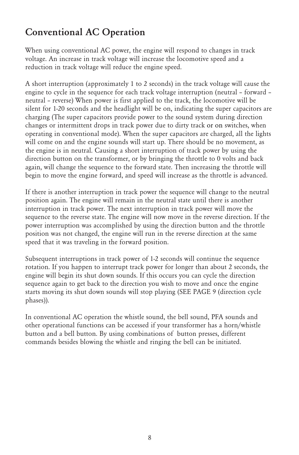## Conventional AC Operation

When using conventional AC power, the engine will respond to changes in track voltage. An increase in track voltage will increase the locomotive speed and a reduction in track voltage will reduce the engine speed.

A short interruption (approximately 1 to 2 seconds) in the track voltage will cause the engine to cycle in the sequence for each track voltage interruption (neutral – forward – neutral – reverse) When power is first applied to the track, the locomotive will be silent for 1-20 seconds and the headlight will be on, indicating the super capacitors are charging (The super capacitors provide power to the sound system during direction changes or intermittent drops in track power due to dirty track or on switches, when operating in conventional mode). When the super capacitors are charged, all the lights will come on and the engine sounds will start up. There should be no movement, as the engine is in neutral. Causing a short interruption of track power by using the direction button on the transformer, or by bringing the throttle to 0 volts and back again, will change the sequence to the forward state. Then increasing the throttle will begin to move the engine forward, and speed will increase as the throttle is advanced.

If there is another interruption in track power the sequence will change to the neutral position again. The engine will remain in the neutral state until there is another interruption in track power. The next interruption in track power will move the sequence to the reverse state. The engine will now move in the reverse direction. If the power interruption was accomplished by using the direction button and the throttle position was not changed, the engine will run in the reverse direction at the same speed that it was traveling in the forward position.

Subsequent interruptions in track power of 1-2 seconds will continue the sequence rotation. If you happen to interrupt track power for longer than about 2 seconds, the engine will begin its shut down sounds. If this occurs you can cycle the direction sequence again to get back to the direction you wish to move and once the engine starts moving its shut down sounds will stop playing (SEE PAGE 9 (direction cycle phases)).

In conventional AC operation the whistle sound, the bell sound, PFA sounds and other operational functions can be accessed if your transformer has a horn/whistle button and a bell button. By using combinations of button presses, different commands besides blowing the whistle and ringing the bell can be initiated.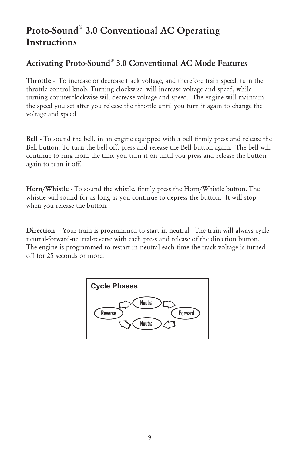## Proto-Sound® 3.0 Conventional AC Operating **Instructions**

### Activating Proto-Sound® 3.0 Conventional AC Mode Features

Throttle - To increase or decrease track voltage, and therefore train speed, turn the throttle control knob. Turning clockwise will increase voltage and speed, while turning counterclockwise will decrease voltage and speed. The engine will maintain the speed you set after you release the throttle until you turn it again to change the voltage and speed.

Bell - To sound the bell, in an engine equipped with a bell firmly press and release the Bell button. To turn the bell off, press and release the Bell button again. The bell will continue to ring from the time you turn it on until you press and release the button again to turn it off.

Horn/Whistle - To sound the whistle, firmly press the Horn/Whistle button. The whistle will sound for as long as you continue to depress the button. It will stop when you release the button.

Direction - Your train is programmed to start in neutral. The train will always cycle neutral-forward-neutral-reverse with each press and release of the direction button. The engine is programmed to restart in neutral each time the track voltage is turned off for 25 seconds or more.

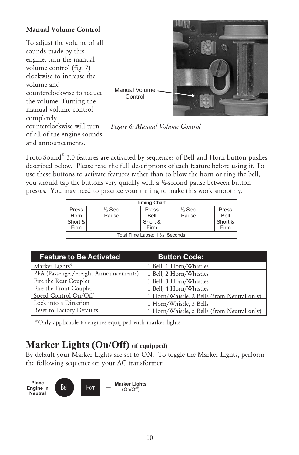#### Manual Volume Control

To adjust the volume of all sounds made by this engine, turn the manual volume control (fig. 7) clockwise to increase the volume and counterclockwise to reduce the volume. Turning the manual volume control completely counterclockwise will turn of all of the engine sounds and announcements.



*Figure 6: Manual Volume Control* 

Proto-Sound® 3.0 features are activated by sequences of Bell and Horn button pushes described below. Please read the full descriptions of each feature before using it. To use these buttons to activate features rather than to blow the horn or ring the bell, you should tap the buttons very quickly with a ½-second pause between button presses. You may need to practice your timing to make this work smoothly.

|         |                    | <b>Timing Chart</b> |                                 |         |
|---------|--------------------|---------------------|---------------------------------|---------|
| Press   | $\frac{1}{2}$ Sec. | Press               | $\frac{1}{2}$ Sec.              | Press   |
| Horn    | Pause              | Bell                | Pause                           | Bell    |
| Short & |                    | Short &             |                                 | Short & |
| Firm    |                    | Firm                |                                 | Firm    |
|         |                    |                     | Total Time Lapse: 1 1/2 Seconds |         |

| <b>Feature to Be Activated</b>        | <b>Button Code:</b>                         |
|---------------------------------------|---------------------------------------------|
| Marker Lights*                        | 1 Bell, 1 Horn/Whistles                     |
| PFA (Passenger/Freight Announcements) | 1 Bell, 2 Horn/Whistles                     |
| Fire the Rear Coupler                 | 1 Bell, 3 Horn/Whistles                     |
| Fire the Front Coupler                | 1 Bell, 4 Horn/Whistles                     |
| Speed Control On/Off                  | 1 Horn/Whistle, 2 Bells (from Neutral only) |
| Lock into a Direction                 | 1 Horn/Whistle, 3 Bells                     |
| Reset to Factory Defaults             | 1 Horn/Whistle, 5 Bells (from Neutral only) |

\*Only applicable to engines equipped with marker lights

### **Marker Lights (On/Off) (if equipped)**

By default your Marker Lights are set to ON. To toggle the Marker Lights, perform the following sequence on your AC transformer:

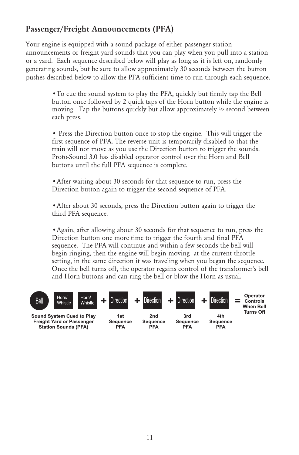### Passenger/Freight Announcements (PFA)

Your engine is equipped with a sound package of either passenger station announcements or freight yard sounds that you can play when you pull into a station or a yard. Each sequence described below will play as long as it is left on, randomly generating sounds, but be sure to allow approximately 30 seconds between the button pushes described below to allow the PFA sufficient time to run through each sequence.

> •To cue the sound system to play the PFA, quickly but firmly tap the Bell button once followed by 2 quick taps of the Horn button while the engine is moving. Tap the buttons quickly but allow approximately ½ second between each press.

• Press the Direction button once to stop the engine. This will trigger the first sequence of PFA. The reverse unit is temporarily disabled so that the train will not move as you use the Direction button to trigger the sounds. Proto-Sound 3.0 has disabled operator control over the Horn and Bell buttons until the full PFA sequence is complete.

•After waiting about 30 seconds for that sequence to run, press the Direction button again to trigger the second sequence of PFA.

•After about 30 seconds, press the Direction button again to trigger the third PFA sequence.

•Again, after allowing about 30 seconds for that sequence to run, press the Direction button one more time to trigger the fourth and final PFA sequence. The PFA will continue and within a few seconds the bell will begin ringing, then the engine will begin moving at the current throttle setting, in the same direction it was traveling when you began the sequence. Once the bell turns off, the operator regains control of the transformer's bell and Horn buttons and can ring the bell or blow the Horn as usual.

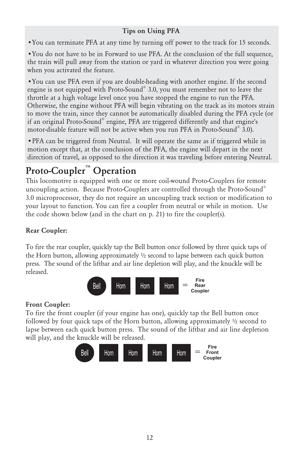### Tips on Using PFA

•You can terminate PFA at any time by turning off power to the track for 15 seconds.

•You do not have to be in Forward to use PFA. At the conclusion of the full sequence, the train will pull away from the station or yard in whatever direction you were going when you activated the feature.

•You can use PFA even if you are double-heading with another engine. If the second engine is not equipped with Proto-Sound® 3.0, you must remember not to leave the throttle at a high voltage level once you have stopped the engine to run the PFA. Otherwise, the engine without PFA will begin vibrating on the track as its motors strain to move the train, since they cannot be automatically disabled during the PFA cycle (or if an original Proto-Sound® engine, PFA are triggered differently and that engine's motor-disable feature will not be active when you run PFA in Proto-Sound  $\degree$  3.0).

•PFA can be triggered from Neutral. It will operate the same as if triggered while in motion except that, at the conclusion of the PFA, the engine will depart in the next direction of travel, as opposed to the direction it was traveling before entering Neutral.

## Proto-Coupler<sup>™</sup> Operation

This locomotive is equipped with one or more coil-wound Proto-Couplers for remote ® uncoupling action. Because Proto-Couplers are controlled through the Proto-Sound 3.0 microprocessor, they do not require an uncoupling track section or modification to your layout to function. You can fire a coupler from neutral or while in motion. Use the code shown below (and in the chart on p. 21) to fire the coupler(s).

### Rear Coupler:

To fire the rear coupler, quickly tap the Bell button once followed by three quick taps of the Horn button, allowing approximately ½ second to lapse between each quick button press. The sound of the liftbar and air line depletion will play, and the knuckle will be released.



#### Front Coupler:

To fire the front coupler (if your engine has one), quickly tap the Bell button once followed by four quick taps of the Horn button, allowing approximately ½ second to lapse between each quick button press. The sound of the liftbar and air line depletion will play, and the knuckle will be released.

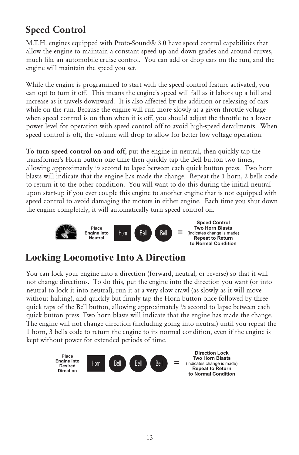## Speed Control

M.T.H. engines equipped with Proto-Sound® 3.0 have speed control capabilities that allow the engine to maintain a constant speed up and down grades and around curves, much like an automobile cruise control. You can add or drop cars on the run, and the engine will maintain the speed you set.

While the engine is programmed to start with the speed control feature activated, you can opt to turn it off. This means the engine's speed will fall as it labors up a hill and increase as it travels downward. It is also affected by the addition or releasing of cars while on the run. Because the engine will run more slowly at a given throttle voltage when speed control is on than when it is off, you should adjust the throttle to a lower power level for operation with speed control off to avoid high-speed derailments. When speed control is off, the volume will drop to allow for better low voltage operation.

To turn speed control on and off, put the engine in neutral, then quickly tap the transformer's Horn button one time then quickly tap the Bell button two times, allowing approximately  $\frac{1}{2}$  second to lapse between each quick button press. Two horn blasts will indicate that the engine has made the change. Repeat the 1 horn, 2 bells code to return it to the other condition. You will want to do this during the initial neutral upon start-up if you ever couple this engine to another engine that is not equipped with speed control to avoid damaging the motors in either engine. Each time you shut down the engine completely, it will automatically turn speed control on.



## **Locking Locomotive Into A Direction**

You can lock your engine into a direction (forward, neutral, or reverse) so that it will not change directions. To do this, put the engine into the direction you want (or into neutral to lock it into neutral), run it at a very slow crawl (as slowly as it will move without halting), and quickly but firmly tap the Horn button once followed by three quick taps of the Bell button, allowing approximately  $\frac{1}{2}$  second to lapse between each quick button press. Two horn blasts will indicate that the engine has made the change. The engine will not change direction (including going into neutral) until you repeat the 1 horn, 3 bells code to return the engine to its normal condition, even if the engine is kept without power for extended periods of time.

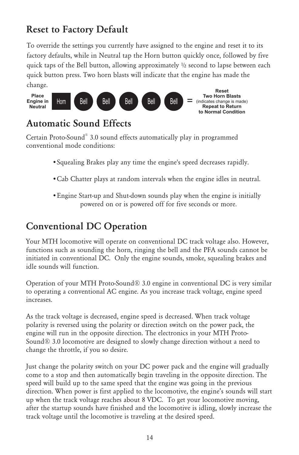## Reset to Factory Default

To override the settings you currently have assigned to the engine and reset it to its factory defaults, while in Neutral tap the Horn button quickly once, followed by five quick taps of the Bell button, allowing approximately  $\frac{1}{2}$  second to lapse between each quick button press. Two horn blasts will indicate that the engine has made the change.



### Automatic Sound Effects

Certain Proto-Sound<sup>®</sup> 3.0 sound effects automatically play in programmed conventional mode conditions:

- •Squealing Brakes play any time the engine's speed decreases rapidly.
- •Cab Chatter plays at random intervals when the engine idles in neutral.
- •Engine Start-up and Shut-down sounds play when the engine is initially powered on or is powered off for five seconds or more.

## Conventional DC Operation

Your MTH locomotive will operate on conventional DC track voltage also. However, functions such as sounding the horn, ringing the bell and the PFA sounds cannot be initiated in conventional DC. Only the engine sounds, smoke, squealing brakes and idle sounds will function.

Operation of your MTH Proto-Sound® 3.0 engine in conventional DC is very similar to operating a conventional AC engine. As you increase track voltage, engine speed increases.

As the track voltage is decreased, engine speed is decreased. When track voltage polarity is reversed using the polarity or direction switch on the power pack, the engine will run in the opposite direction. The electronics in your MTH Proto-Sound® 3.0 locomotive are designed to slowly change direction without a need to change the throttle, if you so desire.

Just change the polarity switch on your DC power pack and the engine will gradually come to a stop and then automatically begin traveling in the opposite direction. The speed will build up to the same speed that the engine was going in the previous direction. When power is first applied to the locomotive, the engine's sounds will start up when the track voltage reaches about 8 VDC. To get your locomotive moving, after the startup sounds have finished and the locomotive is idling, slowly increase the track voltage until the locomotive is traveling at the desired speed.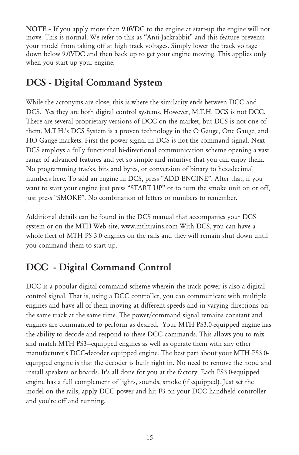NOTE – If you apply more than 9.0VDC to the engine at start-up the engine will not move. This is normal. We refer to this as "Anti-Jackrabbit" and this feature prevents your model from taking off at high track voltages. Simply lower the track voltage down below 9.0VDC and then back up to get your engine moving. This applies only when you start up your engine.

## DCS - Digital Command System

While the acronyms are close, this is where the similarity ends between DCC and DCS. Yes they are both digital control systems. However, M.T.H. DCS is not DCC. There are several proprietary versions of DCC on the market, but DCS is not one of them. M.T.H.'s DCS System is a proven technology in the O Gauge, One Gauge, and HO Gauge markets. First the power signal in DCS is not the command signal. Next DCS employs a fully functional bi-directional communication scheme opening a vast range of advanced features and yet so simple and intuitive that you can enjoy them. No programming tracks, bits and bytes, or conversion of binary to hexadecimal numbers here. To add an engine in DCS, press "ADD ENGINE". After that, if you want to start your engine just press "START UP" or to turn the smoke unit on or off, just press "SMOKE". No combination of letters or numbers to remember.

Additional details can be found in the DCS manual that accompanies your DCS system or on the MTH Web site, www.mthtrains.com With DCS, you can have a whole fleet of MTH PS 3.0 engines on the rails and they will remain shut down until you command them to start up.

## DCC - Digital Command Control

DCC is a popular digital command scheme wherein the track power is also a digital control signal. That is, using a DCC controller, you can communicate with multiple engines and have all of them moving at different speeds and in varying directions on the same track at the same time. The power/command signal remains constant and engines are commanded to perform as desired. Your MTH PS3.0-equipped engine has the ability to decode and respond to these DCC commands. This allows you to mix and match MTH PS3—equipped engines as well as operate them with any other manufacturer's DCC-decoder equipped engine. The best part about your MTH PS3.0 equipped engine is that the decoder is built right in. No need to remove the hood and install speakers or boards. It's all done for you at the factory. Each PS3.0-equipped engine has a full complement of lights, sounds, smoke (if equipped). Just set the model on the rails, apply DCC power and hit F3 on your DCC handheld controller and you're off and running.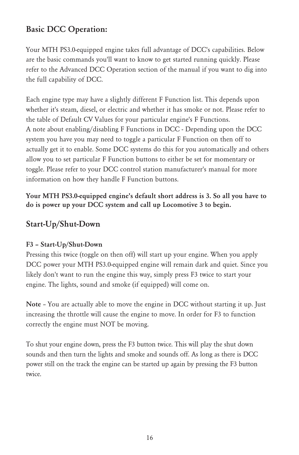### Basic DCC Operation:

Your MTH PS3.0-equipped engine takes full advantage of DCC's capabilities. Below are the basic commands you'll want to know to get started running quickly. Please refer to the Advanced DCC Operation section of the manual if you want to dig into the full capability of DCC.

Each engine type may have a slightly different F Function list. This depends upon whether it's steam, diesel, or electric and whether it has smoke or not. Please refer to the table of Default CV Values for your particular engine's F Functions. A note about enabling/disabling F Functions in DCC - Depending upon the DCC system you have you may need to toggle a particular F Function on then off to actually get it to enable. Some DCC systems do this for you automatically and others allow you to set particular F Function buttons to either be set for momentary or toggle. Please refer to your DCC control station manufacturer's manual for more information on how they handle F Function buttons.

Your MTH PS3.0-equipped engine's default short address is 3. So all you have to do is power up your DCC system and call up Locomotive 3 to begin.

### Start-Up/Shut-Down

#### F3 – Start-Up/Shut-Down

Pressing this twice (toggle on then off) will start up your engine. When you apply DCC power your MTH PS3.0-equipped engine will remain dark and quiet. Since you likely don't want to run the engine this way, simply press F3 twice to start your engine. The lights, sound and smoke (if equipped) will come on.

Note – You are actually able to move the engine in DCC without starting it up. Just increasing the throttle will cause the engine to move. In order for F3 to function correctly the engine must NOT be moving.

To shut your engine down, press the F3 button twice. This will play the shut down sounds and then turn the lights and smoke and sounds off. As long as there is DCC power still on the track the engine can be started up again by pressing the F3 button twice.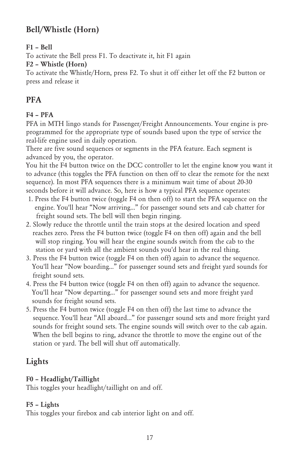### Bell/Whistle (Horn)

### F1 – Bell

To activate the Bell press F1. To deactivate it, hit F1 again

F2 – Whistle (Horn)

To activate the Whistle/Horn, press F2. To shut it off either let off the F2 button or press and release it

### **PFA**

### F4 – PFA

PFA in MTH lingo stands for Passenger/Freight Announcements. Your engine is preprogrammed for the appropriate type of sounds based upon the type of service the real-life engine used in daily operation.

There are five sound sequences or segments in the PFA feature. Each segment is advanced by you, the operator.

You hit the F4 button twice on the DCC controller to let the engine know you want it to advance (this toggles the PFA function on then off to clear the remote for the next sequence). In most PFA sequences there is a minimum wait time of about 20-30 seconds before it will advance. So, here is how a typical PFA sequence operates:

- 1. Press the F4 button twice (toggle F4 on then off) to start the PFA sequence on the engine. You'll hear "Now arriving…" for passenger sound sets and cab chatter for freight sound sets. The bell will then begin ringing.
- 2. Slowly reduce the throttle until the train stops at the desired location and speed reaches zero. Press the F4 button twice (toggle F4 on then off) again and the bell will stop ringing. You will hear the engine sounds switch from the cab to the station or yard with all the ambient sounds you'd hear in the real thing.
- 3. Press the F4 button twice (toggle F4 on then off) again to advance the sequence. You'll hear "Now boarding…" for passenger sound sets and freight yard sounds for freight sound sets.
- 4. Press the F4 button twice (toggle F4 on then off) again to advance the sequence. You'll hear "Now departing…" for passenger sound sets and more freight yard sounds for freight sound sets.
- 5. Press the F4 button twice (toggle F4 on then off) the last time to advance the sequence. You'll hear "All aboard…" for passenger sound sets and more freight yard sounds for freight sound sets. The engine sounds will switch over to the cab again. When the bell begins to ring, advance the throttle to move the engine out of the station or yard. The bell will shut off automatically.

### Lights

### F0 – Headlight/Taillight

This toggles your headlight/taillight on and off.

### F5 – Lights

This toggles your firebox and cab interior light on and off.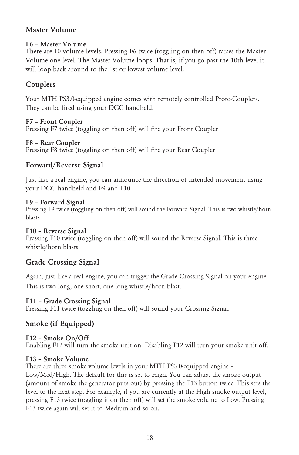### Master Volume

#### F6 – Master Volume

There are 10 volume levels. Pressing F6 twice (toggling on then off) raises the Master Volume one level. The Master Volume loops. That is, if you go past the 10th level it will loop back around to the 1st or lowest volume level.

### Couplers

Your MTH PS3.0-equipped engine comes with remotely controlled Proto-Couplers. They can be fired using your DCC handheld.

#### F7 – Front Coupler

Pressing F7 twice (toggling on then off) will fire your Front Coupler

#### F8 – Rear Coupler

Pressing F8 twice (toggling on then off) will fire your Rear Coupler

### Forward/Reverse Signal

Just like a real engine, you can announce the direction of intended movement using your DCC handheld and F9 and F10.

#### F9 – Forward Signal

Pressing F9 twice (toggling on then off) will sound the Forward Signal. This is two whistle/horn blasts

#### F10 – Reverse Signal

Pressing F10 twice (toggling on then off) will sound the Reverse Signal. This is three whistle/horn blasts

### Grade Crossing Signal

Again, just like a real engine, you can trigger the Grade Crossing Signal on your engine. This is two long, one short, one long whistle/horn blast.

#### F11 – Grade Crossing Signal

Pressing F11 twice (toggling on then off) will sound your Crossing Signal.

### Smoke (if Equipped)

#### F12 – Smoke On/Off

Enabling F12 will turn the smoke unit on. Disabling F12 will turn your smoke unit off.

#### F13 – Smoke Volume

There are three smoke volume levels in your MTH PS3.0-equipped engine – Low/Med/High. The default for this is set to High. You can adjust the smoke output (amount of smoke the generator puts out) by pressing the F13 button twice. This sets the level to the next step. For example, if you are currently at the High smoke output level, pressing F13 twice (toggling it on then off) will set the smoke volume to Low. Pressing F13 twice again will set it to Medium and so on.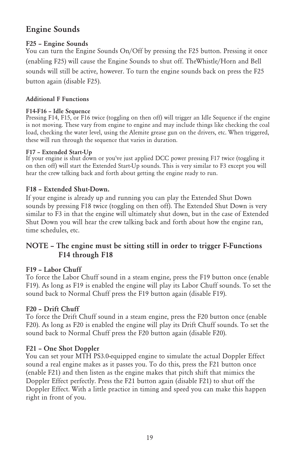### Engine Sounds

#### F25 – Engine Sounds

You can turn the Engine Sounds On/Off by pressing the F25 button. Pressing it once (enabling F25) will cause the Engine Sounds to shut off. TheWhistle/Horn and Bell sounds will still be active, however. To turn the engine sounds back on press the F25 button again (disable F25).

#### Additional F Functions

#### F14-F16 – Idle Sequence

Pressing F14, F15, or F16 twice (toggling on then off) will trigger an Idle Sequence if the engine is not moving. These vary from engine to engine and may include things like checking the coal load, checking the water level, using the Alemite grease gun on the drivers, etc. When triggered, these will run through the sequence that varies in duration.

#### F17 – Extended Start-Up

If your engine is shut down or you've just applied DCC power pressing F17 twice (toggling it on then off) will start the Extended Start-Up sounds. This is very similar to F3 except you will hear the crew talking back and forth about getting the engine ready to run.

#### F18 – Extended Shut-Down.

If your engine is already up and running you can play the Extended Shut Down sounds by pressing F18 twice (toggling on then off). The Extended Shut Down is very similar to F3 in that the engine will ultimately shut down, but in the case of Extended Shut Down you will hear the crew talking back and forth about how the engine ran, time schedules, etc.

### NOTE – The engine must be sitting still in order to trigger F-Functions F14 through F18

#### F19 – Labor Chuff

To force the Labor Chuff sound in a steam engine, press the F19 button once (enable F19). As long as F19 is enabled the engine will play its Labor Chuff sounds. To set the sound back to Normal Chuff press the F19 button again (disable F19).

#### F20 – Drift Chuff

To force the Drift Chuff sound in a steam engine, press the F20 button once (enable F20). As long as F20 is enabled the engine will play its Drift Chuff sounds. To set the sound back to Normal Chuff press the F20 button again (disable F20).

#### F21 – One Shot Doppler

You can set your MTH PS3.0-equipped engine to simulate the actual Doppler Effect sound a real engine makes as it passes you. To do this, press the F21 button once (enable F21) and then listen as the engine makes that pitch shift that mimics the Doppler Effect perfectly. Press the F21 button again (disable F21) to shut off the Doppler Effect. With a little practice in timing and speed you can make this happen right in front of you.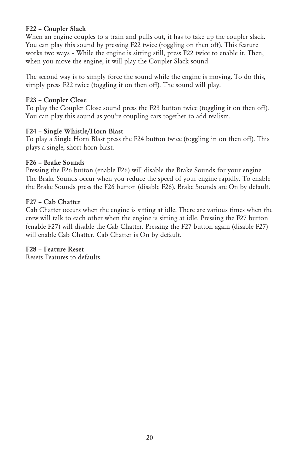#### F22 – Coupler Slack

When an engine couples to a train and pulls out, it has to take up the coupler slack. You can play this sound by pressing F22 twice (toggling on then off). This feature works two ways – While the engine is sitting still, press F22 twice to enable it. Then, when you move the engine, it will play the Coupler Slack sound.

The second way is to simply force the sound while the engine is moving. To do this, simply press F22 twice (toggling it on then off). The sound will play.

#### F23 – Coupler Close

To play the Coupler Close sound press the F23 button twice (toggling it on then off). You can play this sound as you're coupling cars together to add realism.

#### F24 – Single Whistle/Horn Blast

To play a Single Horn Blast press the F24 button twice (toggling in on then off). This plays a single, short horn blast.

#### F26 – Brake Sounds

Pressing the F26 button (enable F26) will disable the Brake Sounds for your engine. The Brake Sounds occur when you reduce the speed of your engine rapidly. To enable the Brake Sounds press the F26 button (disable F26). Brake Sounds are On by default.

#### F27 – Cab Chatter

Cab Chatter occurs when the engine is sitting at idle. There are various times when the crew will talk to each other when the engine is sitting at idle. Pressing the F27 button (enable F27) will disable the Cab Chatter. Pressing the F27 button again (disable F27) will enable Cab Chatter. Cab Chatter is On by default.

#### F28 – Feature Reset

Resets Features to defaults.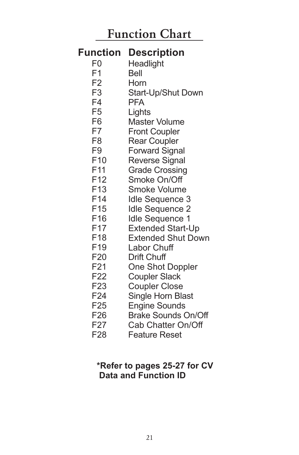## Function Chart

#### F0 F1 F2 F3 F4 F5 F6 **Headlight** Bell **Horn** Start-Up/Shut Down **PFA Lights** Master Volume **Function Description**

- F7 Front Coupler
- F8 Rear Coupler
- F9 Forward Signal
- F10 Reverse Signal
- F11 Grade Crossing
- F12 Smoke On/Off
- F13 Smoke Volume
- F14 Idle Sequence 3
	- F15 Idle Sequence 2
	- F16 Idle Sequence 1
- F17 Extended Start-Up
- F18 Extended Shut Down
- F19 Labor Chuff
- F20 Drift Chuff
- F21 One Shot Doppler
- F22 Coupler Slack
- F23 Coupler Close
- F24 Single Horn Blast
- F25 Engine Sounds
- F26 Brake Sounds On/Off
- F27 Cab Chatter On/Off
- F28 Feature Reset

### **\*Refer to pages 25-27 for CV Data and Function ID**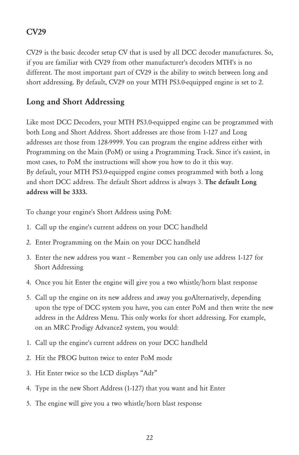### CV29

CV29 is the basic decoder setup CV that is used by all DCC decoder manufactures. So, if you are familiar with CV29 from other manufacturer's decoders MTH's is no different. The most important part of CV29 is the ability to switch between long and short addressing. By default, CV29 on your MTH PS3.0-equipped engine is set to 2.

### Long and Short Addressing

Like most DCC Decoders, your MTH PS3.0-equipped engine can be programmed with both Long and Short Address. Short addresses are those from 1-127 and Long addresses are those from 128-9999. You can program the engine address either with Programming on the Main (PoM) or using a Programming Track. Since it's easiest, in most cases, to PoM the instructions will show you how to do it this way. By default, your MTH PS3.0-equipped engine comes programmed with both a long and short DCC address. The default Short address is always 3. The default Long address will be 3333.

To change your engine's Short Address using PoM:

- 1. Call up the engine's current address on your DCC handheld
- 2. Enter Programming on the Main on your DCC handheld
- 3. Enter the new address you want Remember you can only use address 1-127 for Short Addressing
- 4. Once you hit Enter the engine will give you a two whistle/horn blast response
- 5. Call up the engine on its new address and away you goAlternatively, depending upon the type of DCC system you have, you can enter PoM and then write the new address in the Address Menu. This only works for short addressing. For example, on an MRC Prodigy Advance2 system, you would:
- 1. Call up the engine's current address on your DCC handheld
- 2. Hit the PROG button twice to enter PoM mode
- 3. Hit Enter twice so the LCD displays "Adr"
- 4. Type in the new Short Address (1-127) that you want and hit Enter
- 5. The engine will give you a two whistle/horn blast response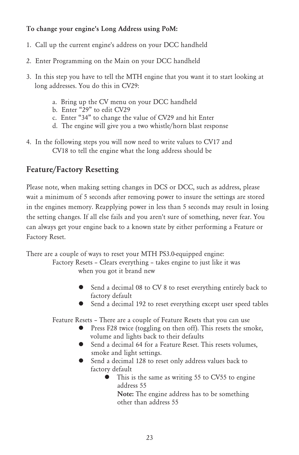### To change your engine's Long Address using PoM:

- 1. Call up the current engine's address on your DCC handheld
- 2. Enter Programming on the Main on your DCC handheld
- 3. In this step you have to tell the MTH engine that you want it to start looking at long addresses. You do this in CV29:
	- a. Bring up the CV menu on your DCC handheld
	- b. Enter "29" to edit CV29
	- c. Enter "34" to change the value of CV29 and hit Enter
	- d. The engine will give you a two whistle/horn blast response
- 4. In the following steps you will now need to write values to CV17 and CV18 to tell the engine what the long address should be

### Feature/Factory Resetting

Please note, when making setting changes in DCS or DCC, such as address, please wait a minimum of 5 seconds after removing power to insure the settings are stored in the engines memory. Reapplying power in less than 5 seconds may result in losing the setting changes. If all else fails and you aren't sure of something, never fear. You can always get your engine back to a known state by either performing a Feature or Factory Reset.

There are a couple of ways to reset your MTH PS3.0-equipped engine:

Factory Resets – Clears everything – takes engine to just like it was when you got it brand new

- Send a decimal 08 to CV 8 to reset everything entirely back to factory default
- Send a decimal 192 to reset everything except user speed tables

Feature Resets – There are a couple of Feature Resets that you can use

- **•** Press F28 twice (toggling on then off). This resets the smoke, volume and lights back to their defaults
- **•** Send a decimal 64 for a Feature Reset. This resets volumes, smoke and light settings.
- **•** Send a decimal 128 to reset only address values back to factory default
	- $\bullet$  This is the same as writing 55 to CV55 to engine address 55

Note: The engine address has to be something other than address 55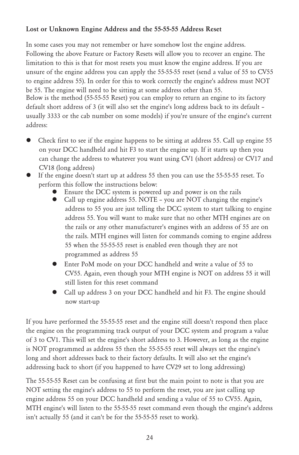### Lost or Unknown Engine Address and the 55-55-55 Address Reset

In some cases you may not remember or have somehow lost the engine address. Following the above Feature or Factory Resets will allow you to recover an engine. The limitation to this is that for most resets you must know the engine address. If you are unsure of the engine address you can apply the 55-55-55 reset (send a value of 55 to CV55 to engine address 55). In order for this to work correctly the engine's address must NOT be 55. The engine will need to be sitting at some address other than 55. Below is the method (55-55-55 Reset) you can employ to return an engine to its factory default short address of 3 (it will also set the engine's long address back to its default – usually 3333 or the cab number on some models) if you're unsure of the engine's current address:

- Check first to see if the engine happens to be sitting at address 55. Call up engine 55 on your DCC handheld and hit F3 to start the engine up. If it starts up then you can change the address to whatever you want using CV1 (short address) or CV17 and CV18 (long address)
- $\bullet$  If the engine doesn't start up at address 55 then you can use the 55-55-55 reset. To perform this follow the instructions below:
	- **Ensure the DCC system is powered up and power is on the rails**
	- Call up engine address 55. NOTE you are NOT changing the engine's address to 55 you are just telling the DCC system to start talking to engine address 55. You will want to make sure that no other MTH engines are on the rails or any other manufacturer's engines with an address of 55 are on the rails. MTH engines will listen for commands coming to engine address 55 when the 55-55-55 reset is enabled even though they are not programmed as address 55
	- l Enter PoM mode on your DCC handheld and write a value of 55 to CV55. Again, even though your MTH engine is NOT on address 55 it will still listen for this reset command
	- Call up address 3 on your DCC handheld and hit F3. The engine should now start-up

If you have performed the 55-55-55 reset and the engine still doesn't respond then place the engine on the programming track output of your DCC system and program a value of 3 to CV1. This will set the engine's short address to 3. However, as long as the engine is NOT programmed as address 55 then the 55-55-55 reset will always set the engine's long and short addresses back to their factory defaults. It will also set the engine's addressing back to short (if you happened to have CV29 set to long addressing)

The 55-55-55 Reset can be confusing at first but the main point to note is that you are NOT setting the engine's address to 55 to perform the reset, you are just calling up engine address 55 on your DCC handheld and sending a value of 55 to CV55. Again, MTH engine's will listen to the 55-55-55 reset command even though the engine's address isn't actually 55 (and it can't be for the 55-55-55 reset to work).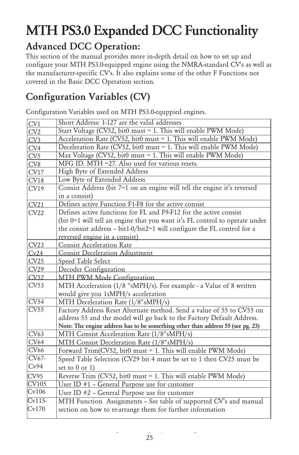# MTH PS3.0 Expanded DCC Functionality

## Advanced DCC Operation:

This section of the manual provides more in-depth detail on how to set up and configure your MTH PS3.0-equipped engine using the NMRA-standard CV's as well as the manufacturer-specific CV's. It also explains some of the other F Functions not covered in the Basic DCC Operation section.

## Configuration Variables (CV)

Configuration Variables used on MTH PS3.0-equppied engines.

| CV1                       | Short Address: 1-127 are the valid addresses                                    |
|---------------------------|---------------------------------------------------------------------------------|
| CV2                       | Start Voltage (CV52, bit0 must = 1. This will enable PWM Mode)                  |
| CV3                       | Acceleration Rate (CV52, bit0 must = 1. This will enable PWM Mode)              |
| CV4                       | Deceleration Rate (CV52, bit0 must = 1. This will enable PWM Mode)              |
| CV5                       | Max Voltage (CV52, bit0 must = 1. This will enable PWM Mode)                    |
| CV <sub>8</sub>           | MFG ID. MTH = 27. Also used for various resets.                                 |
| CV17                      | High Byte of Extended Address                                                   |
| CV18                      | Low Byte of Extended Address                                                    |
| CV19                      | Consist Address (bit 7=1 on an engine will tell the engine it's reversed        |
|                           | in a consist)                                                                   |
| CV21                      | Defines active Function F1-F8 for the active consist                            |
| CV22                      | Defines active functions for FL and F9-F12 for the active consist               |
|                           | (bit 0=1 will tell an engine that you want it's FL control to operate under     |
|                           | the consist address - bit1-0/bit2=1 will configure the FL control for a         |
|                           | reversed engine in a consist)                                                   |
| CV23                      | <b>Consist Acceleration Rate</b>                                                |
| Cv24                      | <b>Consist Deceleration Adjustment</b>                                          |
| CV25                      | Speed Table Select                                                              |
| CV29                      | Decoder Configuration                                                           |
| CV52                      | MTH PWM Mode Configuration                                                      |
| CV53                      | MTH Acceleration (1/8 *sMPH/s). For example - a Value of 8 written              |
|                           | would give you 1sMPH/s acceleration                                             |
| $\overline{\text{CV54}}$  | MTH Deceleration Rate (1/8*sMPH/s)                                              |
| CV55                      | Factory Address Reset Alternate method. Send a value of 55 to CV55 on           |
|                           | address 55 and the model will go back to the Factory Default Address.           |
|                           | Note: The engine address has to be something other than address 55 (see pg. 23) |
| CV <sub>63</sub>          | MTH Consist Acceleration Rate (1/8*sMPH/s)                                      |
| CV <sub>64</sub>          | MTH Consist Deceleration Rate (1/8*sMPH/s)                                      |
| <b>CV66</b>               | Forward Trim(CV52, bit0 must = 1. This will enable PWM Mode)                    |
| CV67-                     | Speed Table Selection (CV29 bit 4 must be set to 1 then CV25 must be            |
| Cv94                      | set to $0$ or $1)$                                                              |
| CV95                      | Reverse Trim (CV52, bit0 must = 1. This will enable PWM Mode)                   |
| CV105                     | User ID #1 - General Purpose use for customer                                   |
| Cv106                     | User ID #2 - General Purpose use for customer                                   |
| $\overline{\text{Cv115}}$ | MTH Function Assignments - See table of supported CV's and manual               |
| Cv170                     | section on how to re-arrange them for further information                       |
|                           |                                                                                 |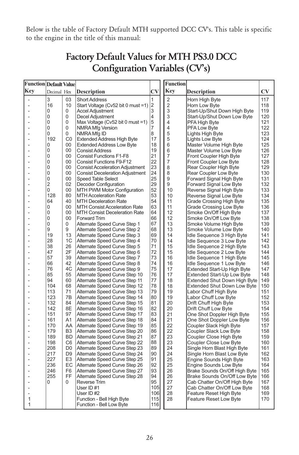Below is the table of Factory Default MTH supported DCC CV's. This table is specific to the engine in the title of this manual:

| Function Default Value   |                |                      |                                                                     |           | Function       |                                                          |            |
|--------------------------|----------------|----------------------|---------------------------------------------------------------------|-----------|----------------|----------------------------------------------------------|------------|
| Key                      | Decimal Hex    |                      | <b>Description</b>                                                  | <b>CV</b> | Kev            | <b>Description</b>                                       | <b>CV</b>  |
| $\overline{\phantom{a}}$ | 3              | 03                   | <b>Short Address</b>                                                | 1         | $\overline{2}$ | Horn High Byte                                           | 117        |
| $\overline{a}$           | 16             | 10                   | Start Voltage (Cv52 bit 0 must =1)                                  | 12        | $\overline{2}$ | Horn Low Byte                                            | 118        |
|                          | 0              | 0                    | <b>Accel Adjustment</b>                                             | 3         | 3              | Start-Up/Shut Down High Byte                             | 119        |
|                          | 0              | 0                    | Decel Adjustment                                                    | 4         | 3              | Start-Up/Shut Down Low Byte                              | 120        |
|                          | 0              | 0                    | Max Voltage (Cv52 bit 0 must =1)                                    | 5         | $\overline{4}$ | PFA High Byte                                            | 121        |
|                          | 0              | 0                    | <b>NMRA Mfg Version</b>                                             | 7         | 4              | <b>PFA Low Byte</b>                                      | 122        |
|                          | 0              | 0                    | NMRA Mfg ID                                                         | 8         | 5              | Lights High Byte                                         | 123        |
|                          | 192            | C <sub>0</sub>       | <b>Extended Address High Byte</b>                                   | 17        | 5              | Lights Low Byte                                          | 124        |
|                          | 0              | 00                   | <b>Extended Address Low Byte</b>                                    | 18        | 6              | Master Volume High Byte                                  | 125        |
|                          | 0              | 00                   | <b>Consist Address</b>                                              | 19        | 6              | Master Volume Low Byte                                   | 126        |
|                          | 0<br>0         | 00<br>00             | <b>Consist Functions F1-F8</b>                                      | 21<br>22  | 7<br>7         | Front Coupler High Byte                                  | 127<br>128 |
|                          | 0              | 00                   | <b>Consist Functions F9-F12</b>                                     | 23        | 8              | Front Coupler Low Byte                                   | 129        |
|                          | 0              | $00 \,$              | <b>Consist Acceleration Adjustment</b>                              | 24        | 8              | Rear Coupler High Byte<br>Rear Coupler Low Byte          | 130        |
|                          | 0              | 00                   | <b>Consist Deceleration Adjustment</b><br><b>Speed Table Select</b> | 25        | 9              | Forward Signal High Byte                                 | 131        |
|                          | $\overline{2}$ | 02                   | Decoder Configuration                                               | 29        | 9              | Forward Signal Low Byte                                  | 132        |
|                          | 0              | 00                   | MTH PWM Motor Configuration                                         | 52        | 10             | Reverse Signal High Byte                                 | 133        |
|                          | 128            | 80                   | <b>MTH Acceleration Rate</b>                                        | 53        | 10             | Reverse Signal Low Byte                                  | 134        |
|                          | 64             | 40                   | <b>MTH Deceleration Rate</b>                                        | 54        | 11             | Grade Crossing High Byte                                 | 135        |
|                          | 0              | 00                   | <b>MTH Consist Acceleration Rate</b>                                | 63        | 11             | <b>Grade Crossing Low Byte</b>                           | 136        |
|                          | 0              | 00                   | <b>MTH Consist Deceleration Rate</b>                                | 64        | 12             | Smoke On/Off High Byte                                   | 137        |
|                          | 0              | 00                   | <b>Forward Trim</b>                                                 | 66        | 12             | Smoke On/Off Low Byte                                    | 138        |
|                          | 0              | 0                    | Alternate Speed Curve Step 1                                        | 67        | 13             | Smoke Volume High Byte                                   | 139        |
|                          | 9              | 9                    | Alternate Speed Curve Step 2                                        | 68        | 13             | Smoke Volume Low Byte                                    | 140        |
|                          | 19             | 13                   | Alternate Speed Curve Step 3                                        | 69        | 14             | Idle Sequence 3 High Byte                                | 141        |
|                          | 28             | 1 <sup>C</sup>       | Alternate Speed Curve Step 4                                        | 70        | 14             | Idle Sequence 3 Low Byte                                 | 142        |
|                          | 38             | 26                   | Alternate Speed Curve Step 5                                        | 71        | 15             | Idle Sequence 2 High Byte                                | 143        |
|                          | 47             | 2F                   | Alternate Speed Curve Step 6                                        | 72        | 15             | Idle Sequence 2 Low Byte                                 | 144        |
|                          | 57             | 39                   | Alternate Speed Curve Step 7                                        | 73        | 16             | Idle Sequence 1 High Byte                                | 145        |
|                          | 66             | 42                   | Alternate Speed Curve Step 8                                        | 74        | 16             | Idle Sequence 1 Low Byte                                 | 146        |
|                          | 76             | 4C                   | Alternate Speed Curve Step 9                                        | 75        | 17             | Extended Start-Up High Byte                              | 147        |
|                          | 85             | 55                   | Alternate Speed Curve Step 10                                       | 76        | 17             | Extended Start-Up Low Byte                               | 148        |
|                          | 94             | 60                   | Alternate Speed Curve Step 11                                       | 77        | 18             | <b>Extended Shut Down High Byte</b>                      | 149        |
|                          | 104            | 68                   | Alternate Speed Curve Step 12                                       | 78        | 18             | <b>Extended Shut Down Low Byte</b>                       | 150        |
|                          | 113            | 71                   | Alternate Speed Curve Step 13                                       | 79        | 19             | Labor Chuff High Byte                                    | 151        |
|                          | 123            | 7B                   | Alternate Speed Curve Step 14                                       | 80        | 19             | Labor Chuff Low Byte                                     | 152        |
|                          | 132            | 84                   | Alternate Speed Curve Step 15                                       | 81        | 20             | Drift Chuff High Byte                                    | 153        |
|                          | 142            | 8E                   | Alternate Speed Curve Step 16                                       | 82        | 20             | Drift Chuff Low Byte                                     | 154        |
|                          | 151            | 97                   | Alternate Speed Curve Step 17                                       | 83        | 21             | One Shot Doppler High Byte                               | 155        |
|                          | 161            | A1                   | Alternate Speed Curve Step 18                                       | 84        | 21             | One Shot Doppler Low Byte                                | 156        |
|                          | 170<br>179     | AA<br>B <sub>3</sub> | Alternate Speed Curve Step 19                                       | 85<br>86  | 22<br>22       | Coupler Slack High Byte                                  | 157<br>158 |
|                          | 189            | BD                   | Alternate Speed Curve Step 20<br>Alternate Speed Curve Step 21      | 87        | 23             | <b>Coupler Slack Low Byte</b><br>Coupler Close High Byte | 159        |
|                          | 198            | C6                   | Alternate Speed Curve Step 22                                       | 88        | 23             | Coupler Close Low Byte                                   | 160        |
|                          | 208            | D <sub>0</sub>       | Alternate Speed Curve Step 23                                       | 89        | 24             | Single Horn Blast High Byte                              | 161        |
|                          | 217            | D9                   | Alternate Speed Curve Step 24                                       | 90        | 24             | Single Horn Blast Low Byte                               | 162        |
|                          | 227            | E <sub>3</sub>       | Alternate Speed Curve Step 25                                       | 91        | 25             | Engine Sounds High Byte                                  | 163        |
|                          | 236            | EC                   | Alternate Speed Curve Step 26                                       | 92        | 25             | <b>Engine Sounds Low Byte</b>                            | 164        |
|                          | 246            | F <sub>6</sub>       | Alternate Speed Curve Step 27                                       | 93        | 26             | Brake Sounds On/Off High Byte                            | 165        |
|                          | 255            | <b>FF</b>            | Alternate Speed Curve Step 28                                       | 94        | 26             | Brake Sounds On/Off Low Byte                             | 166        |
|                          | 0              | 0                    | <b>Reverse Trim</b>                                                 | 95        | 27             | Cab Chatter On/Off High Byte                             | 167        |
| ۰                        |                |                      | User ID #1                                                          | 105       | 27             | Cab Chatter On/Off Low Byte                              | 168        |
|                          |                |                      | User ID #2                                                          | 106       | 28             | Feature Reset High Byte                                  | 169        |
| 1                        |                |                      | Function - Bell High Byte                                           | 115       | 28             | <b>Feature Reset Low Byte</b>                            | 170        |
| 1                        |                |                      | Function - Bell Low Byte                                            | 116       |                |                                                          |            |

## Factory Default Values for MTH PS3.0 DCC Configuration Variables (CV's)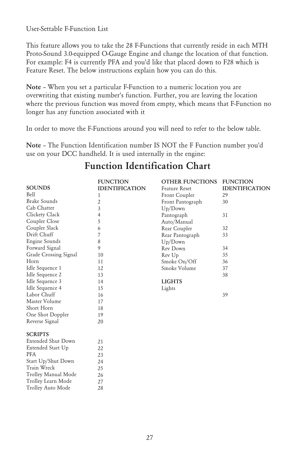User-Settable F-Function List

Trolley Auto Mode

28

This feature allows you to take the 28 F-Functions that currently reside in each MTH Proto-Sound 3.0-equipped O-Gauge Engine and change the location of that function. For example: F4 is currently PFA and you'd like that placed down to F28 which is Feature Reset. The below instructions explain how you can do this.

Note – When you set a particular F-Function to a numeric location you are overwriting that existing number's function. Further, you are leaving the location where the previous function was moved from empty, which means that F-Function no longer has any function associated with it

In order to move the F-Functions around you will need to refer to the below table.

Note – The Function Identification number IS NOT the F Function number you'd use on your DCC handheld. It is used internally in the engine:

#### SOUNDS Bell Brake Sounds Cab Chatter Clickety Clack Coupler Close Coupler Slack Drift Chuff Engine Sounds Forward Signal Grade Crossing Signal Horn Idle Sequence 1 Idle Sequence 2 Idle Sequence 3 Idle Sequence 4 Labor Chuff Master Volume Short Horn One Shot Doppler Reverse Signal **SCRIPTS** Extended Shut Down Extended Start Up PFA Start Up/Shut Down Train Wreck Trolley Manual Mode Trolley Learn Mode **FUNCTION** IDENTIFICATION 1 2 3 4 5 6 7 8 9 10 11 12 13 14 15 16 17 18 19 20 21  $22$ 23 24 25 26 27 OTHER FUNCTIONS FUNCTION Feature Reset Front Coupler Front Pantograph Up/Down Pantograph Auto/Manual Rear Coupler Rear Pantograph Up/Down Rev Down Rev Up Smoke On/Off Smoke Volume LIGHTS Lights IDENTIFICATION 29 30 31 32 33 34 35 36 37 38 39

## Function Identification Chart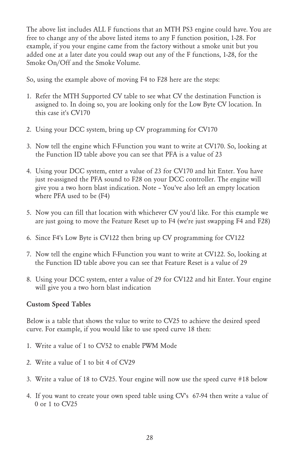The above list includes ALL F functions that an MTH PS3 engine could have. You are free to change any of the above listed items to any F function position, 1-28. For example, if you your engine came from the factory without a smoke unit but you added one at a later date you could swap out any of the F functions, 1-28, for the Smoke On/Off and the Smoke Volume.

So, using the example above of moving F4 to F28 here are the steps:

- 1. Refer the MTH Supported CV table to see what CV the destination Function is assigned to. In doing so, you are looking only for the Low Byte CV location. In this case it's CV170
- 2. Using your DCC system, bring up CV programming for CV170
- 3. Now tell the engine which F-Function you want to write at CV170. So, looking at the Function ID table above you can see that PFA is a value of 23
- 4. Using your DCC system, enter a value of 23 for CV170 and hit Enter. You have just re-assigned the PFA sound to F28 on your DCC controller. The engine will give you a two horn blast indication. Note – You've also left an empty location where PFA used to be (F4)
- 5. Now you can fill that location with whichever CV you'd like. For this example we are just going to move the Feature Reset up to F4 (we're just swapping F4 and F28)
- 6. Since F4's Low Byte is CV122 then bring up CV programming for CV122
- 7. Now tell the engine which F-Function you want to write at CV122. So, looking at the Function ID table above you can see that Feature Reset is a value of 29
- 8. Using your DCC system, enter a value of 29 for CV122 and hit Enter. Your engine will give you a two horn blast indication

#### Custom Speed Tables

Below is a table that shows the value to write to CV25 to achieve the desired speed curve. For example, if you would like to use speed curve 18 then:

- 1. Write a value of 1 to CV52 to enable PWM Mode
- 2. Write a value of 1 to bit 4 of CV29
- 3. Write a value of 18 to CV25. Your engine will now use the speed curve #18 below
- 4. If you want to create your own speed table using CV's 67-94 then write a value of 0 or 1 to CV25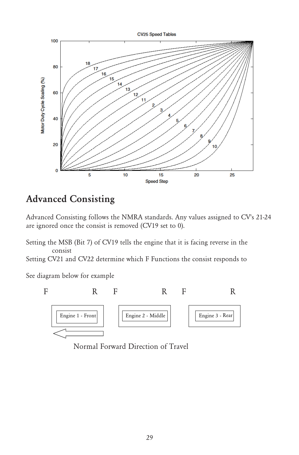

## Advanced Consisting

Advanced Consisting follows the NMRA standards. Any values assigned to CV's 21-24 are ignored once the consist is removed (CV19 set to 0).

Setting the MSB (Bit 7) of CV19 tells the engine that it is facing reverse in the consist

Setting CV21 and CV22 determine which F Functions the consist responds to

See diagram below for example



Normal Forward Direction of Travel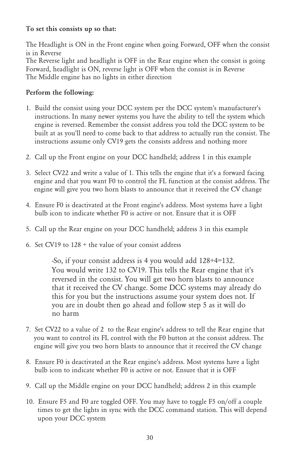#### To set this consists up so that:

The Headlight is ON in the Front engine when going Forward, OFF when the consist is in Reverse The Reverse light and headlight is OFF in the Rear engine when the consist is going Forward, headlight is ON, reverse light is OFF when the consist is in Reverse The Middle engine has no lights in either direction

#### Perform the following:

- 1. Build the consist using your DCC system per the DCC system's manufacturer's instructions. In many newer systems you have the ability to tell the system which engine is reversed. Remember the consist address you told the DCC system to be built at as you'll need to come back to that address to actually run the consist. The instructions assume only CV19 gets the consists address and nothing more
- 2. Call up the Front engine on your DCC handheld; address 1 in this example
- 3. Select CV22 and write a value of 1. This tells the engine that it's a forward facing engine and that you want F0 to control the FL function at the consist address. The engine will give you two horn blasts to announce that it received the CV change
- 4. Ensure F0 is deactivated at the Front engine's address. Most systems have a light bulb icon to indicate whether F0 is active or not. Ensure that it is OFF
- 5. Call up the Rear engine on your DCC handheld; address 3 in this example
- 6. Set CV19 to  $128 +$  the value of your consist address

-So, if your consist address is 4 you would add 128+4=132. You would write 132 to CV19. This tells the Rear engine that it's reversed in the consist. You will get two horn blasts to announce that it received the CV change. Some DCC systems may already do this for you but the instructions assume your system does not. If you are in doubt then go ahead and follow step 5 as it will do no harm

- 7. Set CV22 to a value of 2 to the Rear engine's address to tell the Rear engine that you want to control its FL control with the F0 button at the consist address. The engine will give you two horn blasts to announce that it received the CV change
- 8. Ensure F0 is deactivated at the Rear engine's address. Most systems have a light bulb icon to indicate whether F0 is active or not. Ensure that it is OFF
- 9. Call up the Middle engine on your DCC handheld; address 2 in this example
- 10. Ensure F5 and F0 are toggled OFF. You may have to toggle F5 on/off a couple times to get the lights in sync with the DCC command station. This will depend upon your DCC system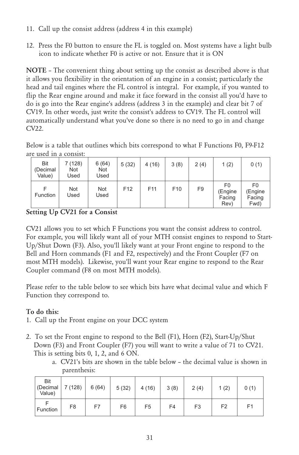- 11. Call up the consist address (address 4 in this example)
- 12. Press the F0 button to ensure the FL is toggled on. Most systems have a light bulb icon to indicate whether F0 is active or not. Ensure that it is ON

NOTE – The convenient thing about setting up the consist as described above is that it allows you flexibility in the orientation of an engine in a consist; particularly the head and tail engines where the FL control is integral. For example, if you wanted to flip the Rear engine around and make it face forward in the consist all you'd have to do is go into the Rear engine's address (address 3 in the example) and clear bit 7 of CV19. In other words, just write the consist's address to CV19. The FL control will automatically understand what you've done so there is no need to go in and change CV<sub>22</sub>.

Below is a table that outlines which bits correspond to what F Functions F0, F9-F12 are used in a consist:

| Bit<br>(Decimal<br>Value) | 7 (128)<br>Not<br>Used | 6(64)<br><b>Not</b><br>Used | 5(32)           | 4(16)           | 3(8)            | 2(4) | 1(2)                            | 0(1)                                        |
|---------------------------|------------------------|-----------------------------|-----------------|-----------------|-----------------|------|---------------------------------|---------------------------------------------|
| Function                  | <b>Not</b><br>Used     | <b>Not</b><br>Used          | F <sub>12</sub> | F <sub>11</sub> | F <sub>10</sub> | F9   | F0<br>(Engine<br>Facing<br>Rev) | F <sub>0</sub><br>(Engine<br>Facing<br>Fwd) |

Setting Up CV21 for a Consist

CV21 allows you to set which F Functions you want the consist address to control. For example, you will likely want all of your MTH consist engines to respond to Start-Up/Shut Down (F3). Also, you'll likely want at your Front engine to respond to the Bell and Horn commands (F1 and F2, respectively) and the Front Coupler (F7 on most MTH models). Likewise, you'll want your Rear engine to respond to the Rear Coupler command (F8 on most MTH models).

Please refer to the table below to see which bits have what decimal value and which F Function they correspond to.

### To do this:

- 1. Call up the Front engine on your DCC system
- 2. To set the Front engine to respond to the Bell (F1), Horn (F2), Start-Up/Shut Down (F3) and Front Coupler (F7) you will want to write a value of 71 to CV21. This is setting bits 0, 1, 2, and 6 ON.
	- a. CV21's bits are shown in the table below the decimal value is shown in parenthesis:

| Bit<br>(Decimal<br>Value) | 7(128)         | 6(64) | 5(32) | 4(16)          | 3(8) | 2(4)           | 1(2)           | 0(1)           |
|---------------------------|----------------|-------|-------|----------------|------|----------------|----------------|----------------|
| Function                  | F <sub>8</sub> | F7    | F6    | F <sub>5</sub> | F4   | F <sub>3</sub> | F <sub>2</sub> | F <sub>1</sub> |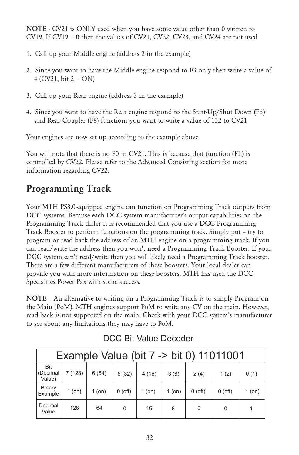NOTE - CV21 is ONLY used when you have some value other than 0 written to CV19. If CV19 = 0 then the values of CV21, CV22, CV23, and CV24 are not used

- 1. Call up your Middle engine (address 2 in the example)
- 2. Since you want to have the Middle engine respond to F3 only then write a value of 4 (CV21, bit  $2 = ON$ )
- 3. Call up your Rear engine (address 3 in the example)
- 4. Since you want to have the Rear engine respond to the Start-Up/Shut Down (F3) and Rear Coupler (F8) functions you want to write a value of 132 to CV21

Your engines are now set up according to the example above.

You will note that there is no F0 in CV21. This is because that function (FL) is controlled by CV22. Please refer to the Advanced Consisting section for more information regarding CV22.

## Programming Track

Your MTH PS3.0-equipped engine can function on Programming Track outputs from DCC systems. Because each DCC system manufacturer's output capabilities on the Programming Track differ it is recommended that you use a DCC Programming Track Booster to perform functions on the programming track. Simply put – try to program or read back the address of an MTH engine on a programming track. If you can read/write the address then you won't need a Programming Track Booster. If your DCC system can't read/write then you will likely need a Programming Track booster. There are a few different manufacturers of these boosters. Your local dealer can provide you with more information on these boosters. MTH has used the DCC Specialties Power Pax with some success.

NOTE – An alternative to writing on a Programming Track is to simply Program on the Main (PoM). MTH engines support PoM to write any CV on the main. However, read back is not supported on the main. Check with your DCC system's manufacturer to see about any limitations they may have to PoM.

|                           |        |        |           |        |        | Example Value (bit 7 -> bit 0) 11011001 |           |        |
|---------------------------|--------|--------|-----------|--------|--------|-----------------------------------------|-----------|--------|
| Bit<br>(Decimal<br>Value) | 7(128) | 6(64)  | 5(32)     | 4(16)  | 3(8)   | 2(4)                                    | 1(2)      | 0(1)   |
| Binary<br>Example         | 1 (on) | 1 (on) | $0$ (off) | 1 (on) | 1 (on) | $0$ (off)                               | $0$ (off) | 1 (on) |
| Decimal<br>Value          | 128    | 64     | $\Omega$  | 16     | 8      | 0                                       | 0         |        |

DCC Bit Value Decoder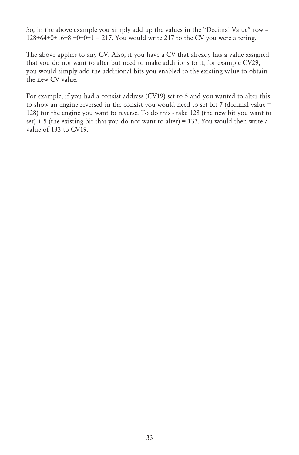So, in the above example you simply add up the values in the "Decimal Value" row – 128+64+0+16+8 +0+0+1 = 217. You would write 217 to the CV you were altering.

The above applies to any CV. Also, if you have a CV that already has a value assigned that you do not want to alter but need to make additions to it, for example CV29, you would simply add the additional bits you enabled to the existing value to obtain the new CV value.

For example, if you had a consist address (CV19) set to 5 and you wanted to alter this to show an engine reversed in the consist you would need to set bit 7 (decimal value = 128) for the engine you want to reverse. To do this - take 128 (the new bit you want to set) + 5 (the existing bit that you do not want to alter) = 133. You would then write a value of 133 to CV19.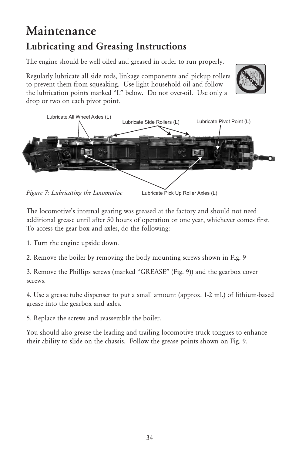## Maintenance Lubricating and Greasing Instructions

The engine should be well oiled and greased in order to run properly.

Regularly lubricate all side rods, linkage components and pickup rollers to prevent them from squeaking. Use light household oil and follow the lubrication points marked "L" below. Do not over-oil. Use only a drop or two on each pivot point.





The locomotive's internal gearing was greased at the factory and should not need additional grease until after 50 hours of operation or one year, whichever comes first. To access the gear box and axles, do the following:

1. Turn the engine upside down.

2. Remove the boiler by removing the body mounting screws shown in Fig. 9

3. Remove the Phillips screws (marked "GREASE" (Fig. 9)) and the gearbox cover screws.

4. Use a grease tube dispenser to put a small amount (approx. 1-2 ml.) of lithium-based grease into the gearbox and axles.

5. Replace the screws and reassemble the boiler.

You should also grease the leading and trailing locomotive truck tongues to enhance their ability to slide on the chassis. Follow the grease points shown on Fig. 9.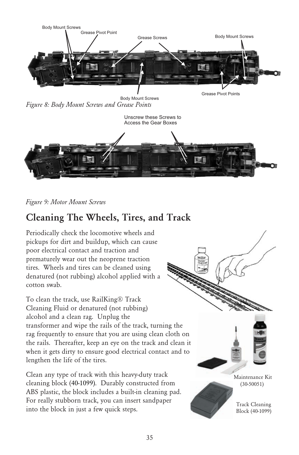



*Figure 9: Motor Mount Screws*

## Cleaning The Wheels, Tires, and Track

Periodically check the locomotive wheels and pickups for dirt and buildup, which can cause poor electrical contact and traction and prematurely wear out the neoprene traction tires. Wheels and tires can be cleaned using denatured (not rubbing) alcohol applied with a cotton swab.

To clean the track, use RailKing® Track Cleaning Fluid or denatured (not rubbing) alcohol and a clean rag. Unplug the transformer and wipe the rails of the track, turning the rag frequently to ensure that you are using clean cloth on the rails. Thereafter, keep an eye on the track and clean it when it gets dirty to ensure good electrical contact and to lengthen the life of the tires.

Clean any type of track with this heavy-duty track cleaning block (40-1099). Durably constructed from ABS plastic, the block includes a built-in cleaning pad. For really stubborn track, you can insert sandpaper into the block in just a few quick steps.

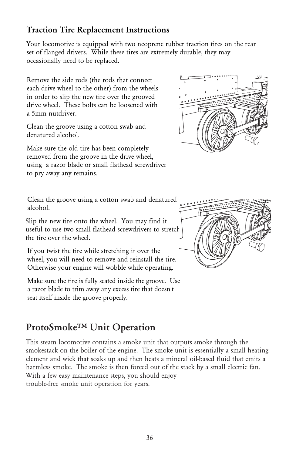### Traction Tire Replacement Instructions

Your locomotive is equipped with two neoprene rubber traction tires on the rear set of flanged drivers. While these tires are extremely durable, they may occasionally need to be replaced.

Remove the side rods (the rods that connect each drive wheel to the other) from the wheels in order to slip the new tire over the grooved drive wheel. These bolts can be loosened with a 5mm nutdriver.

Clean the groove using a cotton swab and denatured alcohol.

Make sure the old tire has been completely removed from the groove in the drive wheel, using a razor blade or small flathead screwdriver to pry away any remains.

Clean the groove using a cotton swab and denatured alcohol.

Slip the new tire onto the wheel. You may find it useful to use two small flathead screwdrivers to stretch the tire over the wheel.

If you twist the tire while stretching it over the wheel, you will need to remove and reinstall the tire. Otherwise your engine will wobble while operating.

Make sure the tire is fully seated inside the groove. Use a razor blade to trim away any excess tire that doesn't seat itself inside the groove properly.

## ProtoSmoke™ Unit Operation

This steam locomotive contains a smoke unit that outputs smoke through the smokestack on the boiler of the engine. The smoke unit is essentially a small heating element and wick that soaks up and then heats a mineral oil-based fluid that emits a harmless smoke. The smoke is then forced out of the stack by a small electric fan. With a few easy maintenance steps, you should enjoy trouble-free smoke unit operation for years.



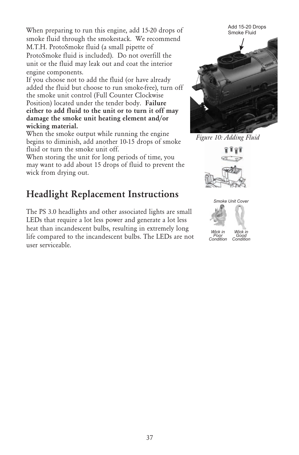When preparing to run this engine, add 15-20 drops of smoke fluid through the smokestack. We recommend M.T.H. ProtoSmoke fluid (a small pipette of ProtoSmoke fluid is included). Do not overfill the unit or the fluid may leak out and coat the interior engine components.

If you choose not to add the fluid (or have already added the fluid but choose to run smoke-free), turn off the smoke unit control (Full Counter Clockwise Position) located under the tender body. Failure either to add fluid to the unit or to turn it off may damage the smoke unit heating element and/or wicking material.

When the smoke output while running the engine begins to diminish, add another 10-15 drops of smoke fluid or turn the smoke unit off.

When storing the unit for long periods of time, you may want to add about 15 drops of fluid to prevent the wick from drying out.

## Headlight Replacement Instructions

The PS 3.0 headlights and other associated lights are small LEDs that require a lot less power and generate a lot less heat than incandescent bulbs, resulting in extremely long life compared to the incandescent bulbs. The LEDs are not user serviceable.



*Figure 10: Adding Fluid*



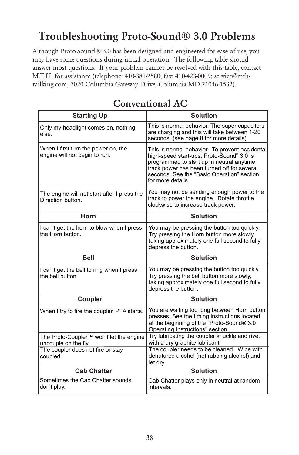## Troubleshooting Proto-Sound® 3.0 Problems

Although Proto-Sound® 3.0 has been designed and engineered for ease of use, you may have some questions during initial operation. The following table should answer most questions. If your problem cannot be resolved with this table, contact M.T.H. for assistance (telephone: 410-381-2580; fax: 410-423-0009; service@mthrailking.com, 7020 Columbia Gateway Drive, Columbia MD 21046-1532).

| <b>Starting Up</b>                                                   | <b>Solution</b>                                                                                                                                                                                                                                            |
|----------------------------------------------------------------------|------------------------------------------------------------------------------------------------------------------------------------------------------------------------------------------------------------------------------------------------------------|
| Only my headlight comes on, nothing<br>else.                         | This is normal behavior. The super capacitors<br>are charging and this will take between 1-20<br>seconds. (see page 8 for more details)                                                                                                                    |
| When I first turn the power on, the<br>engine will not begin to run. | This is normal behavior. To prevent accidental<br>high-speed start-ups, Proto-Sound® 3.0 is<br>programmed to start up in neutral anytime<br>track power has been turned off for several<br>seconds. See the "Basic Operation" section<br>for more details. |
| The engine will not start after I press the<br>Direction button.     | You may not be sending enough power to the<br>track to power the engine. Rotate throttle<br>clockwise to increase track power.                                                                                                                             |
| Horn                                                                 | <b>Solution</b>                                                                                                                                                                                                                                            |
| I can't get the horn to blow when I press<br>the Horn button.        | You may be pressing the button too quickly.<br>Try pressing the Horn button more slowly,<br>taking approximately one full second to fully<br>depress the button.                                                                                           |
| <b>Bell</b>                                                          | <b>Solution</b>                                                                                                                                                                                                                                            |
| I can't get the bell to ring when I press<br>the bell button.        | You may be pressing the button too quickly.<br>Try pressing the bell button more slowly,<br>taking approximately one full second to fully<br>depress the button.                                                                                           |
| Coupler                                                              | <b>Solution</b>                                                                                                                                                                                                                                            |
| When I try to fire the coupler, PFA starts.                          | You are waiting too long between Horn button<br>presses. See the timing instructions located<br>at the beginning of the "Proto-Sound® 3.0<br>Operating Instructions" section.                                                                              |
| The Proto-Coupler™ won't let the engine<br>uncouple on the fly.      | Try lubricating the coupler knuckle and rivet<br>with a dry graphite lubricant.                                                                                                                                                                            |
| The coupler does not fire or stay<br>coupled.                        | The coupler needs to be cleaned. Wipe with<br>denatured alcohol (not rubbing alcohol) and<br>let dry.                                                                                                                                                      |
| <b>Cab Chatter</b>                                                   | <b>Solution</b>                                                                                                                                                                                                                                            |
| Sometimes the Cab Chatter sounds<br>don't play.                      | Cab Chatter plays only in neutral at random<br>intervals.                                                                                                                                                                                                  |

### Conventional AC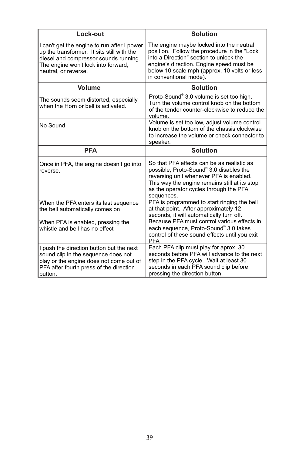| Lock-out                                                                                                                                                                                          | <b>Solution</b>                                                                                                                                                                                                                                           |
|---------------------------------------------------------------------------------------------------------------------------------------------------------------------------------------------------|-----------------------------------------------------------------------------------------------------------------------------------------------------------------------------------------------------------------------------------------------------------|
| I can't get the engine to run after I power<br>up the transformer. It sits still with the<br>diesel and compressor sounds running.<br>The engine won't lock into forward,<br>neutral, or reverse. | The engine maybe locked into the neutral<br>position. Follow the procedure in the "Lock"<br>into a Direction" section to unlock the<br>engine's direction. Engine speed must be<br>below 10 scale mph (approx. 10 volts or less<br>in conventional mode). |
| <b>Volume</b>                                                                                                                                                                                     | <b>Solution</b>                                                                                                                                                                                                                                           |
| The sounds seem distorted, especially<br>when the Horn or bell is activated.                                                                                                                      | Proto-Sound® 3.0 volume is set too high.<br>Turn the volume control knob on the bottom<br>of the tender counter-clockwise to reduce the<br>volume.                                                                                                        |
| No Sound                                                                                                                                                                                          | Volume is set too low, adjust volume control<br>knob on the bottom of the chassis clockwise<br>to increase the volume or check connector to<br>speaker.                                                                                                   |
| <b>PFA</b>                                                                                                                                                                                        | <b>Solution</b>                                                                                                                                                                                                                                           |
| Once in PFA, the engine doesn't go into<br>reverse.                                                                                                                                               | So that PFA effects can be as realistic as<br>possible, Proto-Sound® 3.0 disables the<br>reversing unit whenever PFA is enabled.<br>This way the engine remains still at its stop<br>as the operator cycles through the PFA<br>sequences.                 |
| When the PFA enters its last sequence<br>the bell automatically comes on                                                                                                                          | PFA is programmed to start ringing the bell<br>at that point. After approximately 12<br>seconds, it will automatically turn off.                                                                                                                          |
| When PFA is enabled, pressing the<br>whistle and hell has no effect                                                                                                                               | Because PFA must control various effects in<br>each sequence, Proto-Sound® 3.0 takes<br>control of these sound effects until you exit<br><b>PFA</b>                                                                                                       |
| I push the direction button but the next<br>sound clip in the sequence does not<br>play or the engine does not come out of<br>PFA after fourth press of the direction<br>button.                  | Each PFA clip must play for aprox. 30<br>seconds before PFA will advance to the next<br>step in the PFA cycle. Wait at least 30<br>seconds in each PFA sound clip before<br>pressing the direction button.                                                |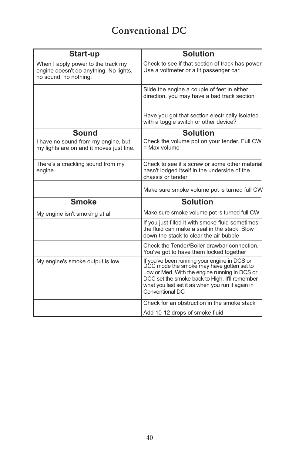## Conventional DC

| Start-up                                                                                              | <b>Solution</b>                                                                                                                                                                                                                                                     |
|-------------------------------------------------------------------------------------------------------|---------------------------------------------------------------------------------------------------------------------------------------------------------------------------------------------------------------------------------------------------------------------|
| When I apply power to the track my<br>engine doesn't do anything. No lights,<br>no sound, no nothing. | Check to see if that section of track has power<br>Use a voltmeter or a lit passenger car.                                                                                                                                                                          |
|                                                                                                       | Slide the engine a couple of feet in either<br>direction, you may have a bad track section                                                                                                                                                                          |
|                                                                                                       | Have you got that section electrically isolated<br>with a toggle switch or other device?                                                                                                                                                                            |
| <b>Sound</b>                                                                                          | <b>Solution</b>                                                                                                                                                                                                                                                     |
| I have no sound from my engine, but<br>my lights are on and it moves just fine.                       | Check the volume pot on your tender. Full CW<br>$=$ Max volume                                                                                                                                                                                                      |
| There's a crackling sound from my<br>engine                                                           | Check to see if a screw or some other material<br>hasn't lodged itself in the underside of the<br>chassis or tender                                                                                                                                                 |
|                                                                                                       | Make sure smoke volume pot is turned full CW                                                                                                                                                                                                                        |
| <b>Smoke</b>                                                                                          | <b>Solution</b>                                                                                                                                                                                                                                                     |
| My engine isn't smoking at all                                                                        | Make sure smoke volume pot is turned full CW                                                                                                                                                                                                                        |
|                                                                                                       | If you just filled it with smoke fluid sometimes<br>the fluid can make a seal in the stack. Blow<br>down the stack to clear the air bubble                                                                                                                          |
|                                                                                                       | Check the Tender/Boiler drawbar connection.<br>You've got to have them locked together                                                                                                                                                                              |
| My engine's smoke output is low                                                                       | If you've been running your engine in DCS or<br>DCC mode the smoke may have gotten set to<br>Low or Med. With the engine running in DCS or<br>DCC set the smoke back to High. It'll remember<br>what you last set it as when you run it again in<br>Conventional DC |
|                                                                                                       | Check for an obstruction in the smoke stack                                                                                                                                                                                                                         |
|                                                                                                       | Add 10-12 drops of smoke fluid                                                                                                                                                                                                                                      |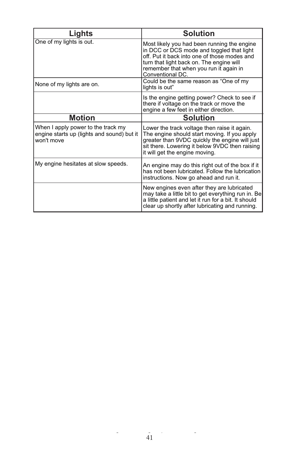| Lights                                                                                         | <b>Solution</b>                                                                                                                                                                                                                                    |
|------------------------------------------------------------------------------------------------|----------------------------------------------------------------------------------------------------------------------------------------------------------------------------------------------------------------------------------------------------|
| One of my lights is out.                                                                       | Most likely you had been running the engine<br>in DCC or DCS mode and toggled that light<br>off. Put it back into one of those modes and<br>turn that light back on. The engine will<br>remember that when you run it again in<br>Conventional DC. |
| None of my lights are on.                                                                      | Could be the same reason as "One of my<br>lights is out"                                                                                                                                                                                           |
|                                                                                                | Is the engine getting power? Check to see if<br>there if voltage on the track or move the<br>engine a few feet in either direction.                                                                                                                |
| <b>Motion</b>                                                                                  | Solution                                                                                                                                                                                                                                           |
| When I apply power to the track my<br>engine starts up (lights and sound) but it<br>won't move | Lower the track voltage then raise it again.<br>The engine should start moving. If you apply<br>greater than 9VDC quickly the engine will just<br>sit there. Lowering it below 9VDC then raising<br>it will get the engine moving.                 |
| My engine hesitates at slow speeds.                                                            | An engine may do this right out of the box if it<br>has not been lubricated. Follow the lubrication<br>instructions. Now go ahead and run it.                                                                                                      |
|                                                                                                | New engines even after they are lubricated<br>may take a little bit to get everything run in. Be<br>a little patient and let it run for a bit. It should<br>clear up shortly after lubricating and running.                                        |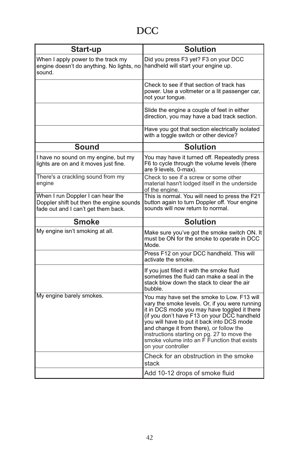| Start-up                                                                                                             | <b>Solution</b>                                                                                                                                                                                                                                                                                                                                                                                            |
|----------------------------------------------------------------------------------------------------------------------|------------------------------------------------------------------------------------------------------------------------------------------------------------------------------------------------------------------------------------------------------------------------------------------------------------------------------------------------------------------------------------------------------------|
| When I apply power to the track my<br>engine doesn't do anything. No lights, no<br>sound.                            | Did you press F3 yet? F3 on your DCC<br>handheld will start your engine up.                                                                                                                                                                                                                                                                                                                                |
|                                                                                                                      | Check to see if that section of track has<br>power. Use a voltmeter or a lit passenger car,<br>not your tongue.                                                                                                                                                                                                                                                                                            |
|                                                                                                                      | Slide the engine a couple of feet in either<br>direction, you may have a bad track section.                                                                                                                                                                                                                                                                                                                |
|                                                                                                                      | Have you got that section electrically isolated<br>with a toggle switch or other device?                                                                                                                                                                                                                                                                                                                   |
| <b>Sound</b>                                                                                                         | <b>Solution</b>                                                                                                                                                                                                                                                                                                                                                                                            |
| I have no sound on my engine, but my<br>lights are on and it moves just fine.                                        | You may have it turned off. Repeatedly press<br>F6 to cycle through the volume levels (there<br>are 9 levels, 0-max).                                                                                                                                                                                                                                                                                      |
| There's a crackling sound from my<br>engine                                                                          | Check to see if a screw or some other<br>material hasn't lodged itself in the underside<br>of the engine.                                                                                                                                                                                                                                                                                                  |
| When I run Doppler I can hear the<br>Doppler shift but then the engine sounds<br>fade out and I can't get them back. | This is normal. You will need to press the F21<br>button again to turn Doppler off. Your engine<br>sounds will now return to normal.                                                                                                                                                                                                                                                                       |
|                                                                                                                      |                                                                                                                                                                                                                                                                                                                                                                                                            |
| <b>Smoke</b>                                                                                                         | <b>Solution</b>                                                                                                                                                                                                                                                                                                                                                                                            |
| My engine isn't smoking at all.                                                                                      | Make sure you've got the smoke switch ON. It<br>must be ON for the smoke to operate in DCC<br>Mode.                                                                                                                                                                                                                                                                                                        |
|                                                                                                                      | Press F12 on your DCC handheld. This will<br>activate the smoke.                                                                                                                                                                                                                                                                                                                                           |
|                                                                                                                      | If you just filled it with the smoke fluid<br>sometimes the fluid can make a seal in the<br>stack blow down the stack to clear the air<br>bubble.                                                                                                                                                                                                                                                          |
| My engine barely smokes.                                                                                             | You may have set the smoke to Low. F13 will<br>vary the smoke levels. Or, if you were running<br>it in DCS mode you may have toggled it there<br>(if you don't have F13 on your DCC handheld<br>you will have to put it back into DCS mode<br>and change it from there), or follow the<br>instructions starting on pg. 27 to move the<br>smoke volume into an F Function that exists<br>on your controller |
|                                                                                                                      | Check for an obstruction in the smoke<br>stack<br>Add 10-12 drops of smoke fluid                                                                                                                                                                                                                                                                                                                           |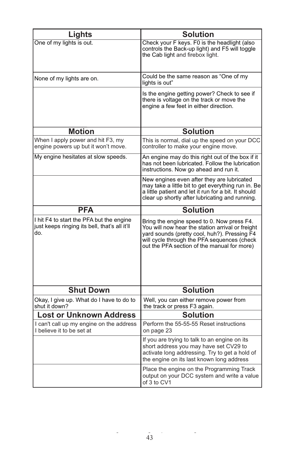| Lights                                                                                           | <b>Solution</b>                                                                                                                                                                                                                              |
|--------------------------------------------------------------------------------------------------|----------------------------------------------------------------------------------------------------------------------------------------------------------------------------------------------------------------------------------------------|
| One of my lights is out.                                                                         | Check your F keys. F0 is the headlight (also<br>controls the Back-up light) and F5 will toggle<br>the Cab light and firebox light.                                                                                                           |
| None of my lights are on.                                                                        | Could be the same reason as "One of my<br>lights is out"                                                                                                                                                                                     |
|                                                                                                  | Is the engine getting power? Check to see if<br>there is voltage on the track or move the<br>engine a few feet in either direction.                                                                                                          |
| <b>Motion</b>                                                                                    | <b>Solution</b>                                                                                                                                                                                                                              |
| When I apply power and hit F3, my<br>engine powers up but it won't move.                         | This is normal, dial up the speed on your DCC<br>controller to make your engine move.                                                                                                                                                        |
| My engine hesitates at slow speeds.                                                              | An engine may do this right out of the box if it<br>has not been lubricated. Follow the lubrication<br>instructions. Now go ahead and run it.                                                                                                |
|                                                                                                  | New engines even after they are lubricated<br>may take a little bit to get everything run in. Be<br>a little patient and let it run for a bit. It should<br>clear up shortly after lubricating and running.                                  |
| <b>PFA</b>                                                                                       | <b>Solution</b>                                                                                                                                                                                                                              |
| I hit F4 to start the PFA but the engine<br>just keeps ringing its bell, that's all it'll<br>do. | Bring the engine speed to 0. Now press F4.<br>You will now hear the station arrival or freight<br>yard sounds (pretty cool, huh?). Pressing F4<br>will cycle through the PFA sequences (check<br>out the PFA section of the manual for more) |
| <b>Shut Down</b>                                                                                 | <b>Solution</b>                                                                                                                                                                                                                              |
| Okay, I give up. What do I have to do to<br>shut it down?                                        | Well, you can either remove power from<br>the track or press F3 again.                                                                                                                                                                       |
| <b>Lost or Unknown Address</b>                                                                   | <b>Solution</b>                                                                                                                                                                                                                              |
| I can't call up my engine on the address<br>I believe it to be set at                            | Perform the 55-55-55 Reset instructions<br>on page 23                                                                                                                                                                                        |
|                                                                                                  | If you are trying to talk to an engine on its<br>short address you may have set CV29 to<br>activate long addressing. Try to get a hold of<br>the engine on its last known long address                                                       |
|                                                                                                  | Place the engine on the Programming Track<br>output on your DCC system and write a value<br>of 3 to CV1                                                                                                                                      |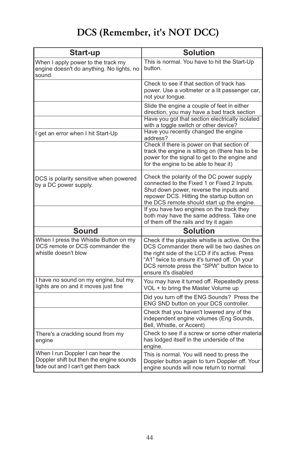# DCS (Remember, it's NOT DCC)

| Start-up                                                                                                            | <b>Solution</b>                                                                                                                                                                                                                                                        |
|---------------------------------------------------------------------------------------------------------------------|------------------------------------------------------------------------------------------------------------------------------------------------------------------------------------------------------------------------------------------------------------------------|
| When I apply power to the track my<br>engine doesn't do anything. No lights, no<br>sound.                           | This is normal. You have to hit the Start-Up<br>button.                                                                                                                                                                                                                |
|                                                                                                                     | Check to see if that section of track has<br>power. Use a voltmeter or a lit passenger car,<br>not your tongue.                                                                                                                                                        |
|                                                                                                                     | Slide the engine a couple of feet in either<br>direction, you may have a bad track section<br>Have you got that section electrically isolated<br>with a toggle switch or other device?                                                                                 |
| I get an error when I hit Start-Up                                                                                  | Have you recently changed the engine<br>address?                                                                                                                                                                                                                       |
|                                                                                                                     | Check if there is power on that section of<br>track the engine is sitting on (there has to be<br>power for the signal to get to the engine and<br>for the engine to be able to hear it)                                                                                |
| DCS is polarity sensitive when powered<br>by a DC power supply.                                                     | Check the polarity of the DC power supply<br>connected to the Fixed 1 or Fixed 2 Inputs.<br>Shut down power, reverse the inputs and<br>repower DCS. Hitting the startup button on<br>the DCS remote should start up the engine.                                        |
|                                                                                                                     | If you have two engines on the track they<br>both may have the same address. Take one<br>of them off the rails and try it again                                                                                                                                        |
| <b>Sound</b>                                                                                                        | <b>Solution</b>                                                                                                                                                                                                                                                        |
| When I press the Whistle Button on my<br>DCS remote or DCS commander the<br>whistle doesn't blow                    | Check if the playable whistle is active. On the<br>DCS Commander there will be two dashes on<br>the right side of the LCD if it's active. Press<br>"A1" twice to ensure it's turned off. On your<br>DCS remote press the "SPW" button twice to<br>ensure it's disabled |
| I have no sound on my engine, but my<br>lights are on and it moves just fine                                        | You may have it turned off. Repeatedly press<br>VOL + to bring the Master Volume up                                                                                                                                                                                    |
|                                                                                                                     | Did you turn off the ENG Sounds? Press the<br>ENG SND button on your DCS controller.                                                                                                                                                                                   |
|                                                                                                                     | Check that you haven't lowered any of the<br>independent engine volumes (Eng Sounds,<br>Bell, Whistle, or Accent)                                                                                                                                                      |
| There's a crackling sound from my<br>engine                                                                         | Check to see if a screw or some other material<br>has lodged itself in the underside of the<br>engine.                                                                                                                                                                 |
| When I run Doppler I can hear the<br>Doppler shift but then the engine sounds<br>fade out and I can't get them back | This is normal. You will need to press the<br>Doppler button again to turn Doppler off. Your<br>engine sounds will now return to normal                                                                                                                                |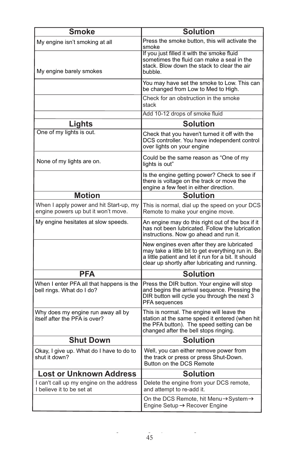| <b>Smoke</b>                                                                   | <b>Solution</b>                                                                                                                                                                                             |
|--------------------------------------------------------------------------------|-------------------------------------------------------------------------------------------------------------------------------------------------------------------------------------------------------------|
| My engine isn't smoking at all                                                 | Press the smoke button, this will activate the<br>smoke                                                                                                                                                     |
| My engine barely smokes                                                        | If you just filled it with the smoke fluid<br>sometimes the fluid can make a seal in the<br>stack. Blow down the stack to clear the air<br>bubble.                                                          |
|                                                                                | You may have set the smoke to Low. This can<br>be changed from Low to Med to High.                                                                                                                          |
|                                                                                | Check for an obstruction in the smoke<br>stack                                                                                                                                                              |
|                                                                                | Add 10-12 drops of smoke fluid                                                                                                                                                                              |
| Lights                                                                         | <b>Solution</b>                                                                                                                                                                                             |
| One of my lights is out.                                                       | Check that you haven't turned it off with the<br>DCS controller. You have independent control<br>over lights on your engine                                                                                 |
| None of my lights are on.                                                      | Could be the same reason as "One of my<br>lights is out"                                                                                                                                                    |
|                                                                                | Is the engine getting power? Check to see if<br>there is voltage on the track or move the<br>engine a few feet in either direction.                                                                         |
| <b>Motion</b>                                                                  | Solution                                                                                                                                                                                                    |
| When I apply power and hit Start-up, my<br>engine powers up but it won't move. | This is normal, dial up the speed on your DCS<br>Remote to make your engine move.                                                                                                                           |
| My engine hesitates at slow speeds.                                            | An engine may do this right out of the box if it<br>has not been lubricated. Follow the lubrication<br>instructions. Now go ahead and run it.                                                               |
|                                                                                | New engines even after they are lubricated<br>may take a little bit to get everything run in. Be<br>a little patient and let it run for a bit. It should<br>clear up shortly after lubricating and running. |
| <b>PFA</b>                                                                     | <b>Solution</b>                                                                                                                                                                                             |
| When I enter PFA all that happens is the<br>bell rings. What do I do?          | Press the DIR button. Your engine will stop<br>and begins the arrival sequence. Pressing the<br>DIR button will cycle you through the next 3<br>PFA sequences                                               |
| Why does my engine run away all by<br>itself after the PFA is over?            | This is normal. The engine will leave the<br>station at the same speed it entered (when hit<br>the PFA button). The speed setting can be<br>changed after the bell stops ringing.                           |
| <b>Shut Down</b>                                                               | <b>Solution</b>                                                                                                                                                                                             |
| Okay, I give up. What do I have to do to<br>shut it down?                      | Well, you can either remove power from<br>the track or press or press Shut-Down.<br>Button on the DCS Remote                                                                                                |
| <b>Lost or Unknown Address</b>                                                 | <b>Solution</b>                                                                                                                                                                                             |
| I can't call up my engine on the address<br>I believe it to be set at          | Delete the engine from your DCS remote,<br>and attempt to re-add it.                                                                                                                                        |
|                                                                                | On the DCS Remote, hit Menu→System→<br>Engine Setup → Recover Engine                                                                                                                                        |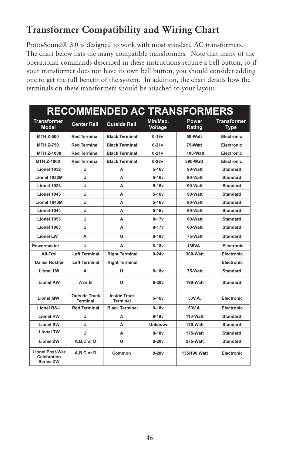## Transformer Compatibility and Wiring Chart

Proto-Sound® 3.0 is designed to work with most standard AC transformers. The chart below lists the many compatible transformers. Note that many of the operational commands described in these instructions require a bell button, so if your transformer does not have its own bell button, you should consider adding one to get the full benefit of the system. In addition, the chart details how the terminals on these transformers should be attached to your layout.

| <b>RECOMMENDED AC TRANSFORMERS</b>                        |                                         |                                        |                     |                 |                                   |  |
|-----------------------------------------------------------|-----------------------------------------|----------------------------------------|---------------------|-----------------|-----------------------------------|--|
| Transformer<br><b>Model</b>                               | <b>Center Rail</b>                      | <b>Outside Rail</b>                    | Min/Max.<br>Voltage | Power<br>Rating | <b>Transformer</b><br><b>Type</b> |  |
| <b>MTH Z-500</b>                                          | <b>Red Terminal</b>                     | <b>Black Terminal</b>                  | $0-18v$             | 50-Watt         | Electronic                        |  |
| <b>MTH Z-750</b>                                          | <b>Red Terminal</b>                     | <b>Black Terminal</b>                  | $0 - 21v$           | 75-Watt         | Electronic                        |  |
| MTH Z-1000                                                | <b>Red Terminal</b>                     | <b>Black Terminal</b>                  | $0-21v$             | 100-Watt        | Electronic                        |  |
| MTH Z-4000                                                | <b>Red Terminal</b>                     | <b>Black Terminal</b>                  | $0 - 22v$           | 390-Watt        | Electronic                        |  |
| Lionel 1032                                               | U                                       | A                                      | $5-16v$             | 90-Watt         | <b>Standard</b>                   |  |
| Lionel 1032M                                              | U                                       | A                                      | $5-16v$             | 90-Watt         | <b>Standard</b>                   |  |
| Lionel 1033                                               | U                                       | A                                      | $5-16v$             | 90-Watt         | <b>Standard</b>                   |  |
| Lionel 1043                                               | u                                       | A                                      | $5-16v$             | 90-Watt         | <b>Standard</b>                   |  |
| Lionel 1043M                                              | U                                       | А                                      | $5-16v$             | 90-Watt         | <b>Standard</b>                   |  |
| Lionel 1044                                               | U                                       | A                                      | $5-16v$             | 90-Watt         | <b>Standard</b>                   |  |
| Lionel 1053                                               | U                                       | A                                      | $8 - 17v$           | 60-Watt         | <b>Standard</b>                   |  |
| Lionel 1063                                               | U                                       | A                                      | $8-17v$             | 60-Watt         | <b>Standard</b>                   |  |
| <b>Lionel LW</b>                                          | A                                       | U                                      | $8-18v$             | 75-Watt         | <b>Standard</b>                   |  |
| Powermaster                                               | u                                       | A                                      | $8-18v$             | 135VA           | Electronic                        |  |
| All-Trol                                                  | <b>Left Terminal</b>                    | <b>Right Terminal</b>                  | $0 - 24v$           | 300-Watt        | Electronic                        |  |
| <b>Dallee Hostler</b>                                     | <b>Left Terminal</b>                    | <b>Right Terminal</b>                  |                     |                 | Electronic                        |  |
| <b>Lionel LW</b>                                          | A                                       | U                                      | $8-18v$             | 75-Watt         | <b>Standard</b>                   |  |
| <b>Lionel KW</b>                                          | $A$ or $B$                              | u                                      | $6-20v$             | 190-Watt        | <b>Standard</b>                   |  |
| <b>Lionel MW</b>                                          | <b>Outside Track</b><br><b>Terminal</b> | <b>Inside Track</b><br><b>Terminal</b> | $5-16v$             | 50V.A.          | Electronic                        |  |
| <b>Lionel RS-1</b>                                        | <b>Red Terminal</b>                     | <b>Black Terminal</b>                  | $0-18v$             | 50V.A.          | Electronic                        |  |
| <b>Lionel RW</b>                                          | U                                       | А                                      | $9-19v$             | 110-Watt        | <b>Standard</b>                   |  |
| <b>Lionel SW</b>                                          | U                                       | A                                      | Unknown             | 130-Watt        | <b>Standard</b>                   |  |
| <b>Lionel TW</b>                                          | u                                       | A                                      | $8-18v$             | 175-Watt        | <b>Standard</b>                   |  |
| <b>Lionel ZW</b>                                          | A,B,C or D                              | U                                      | $8-20v$             | 275-Watt        | <b>Standard</b>                   |  |
| <b>Lionel Post-War</b><br>Celebration<br><b>Series ZW</b> | A,B,C or D                              | Common                                 | $0 - 20v$           | 135/190 Watt    | Electronic                        |  |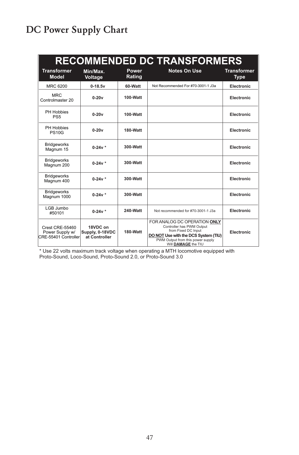## DC Power Supply Chart

| <b>RECOMMENDED DC TRANSFORMERS</b>                                |                                              |                 |                                                                                                                                                                                      |                                   |  |  |
|-------------------------------------------------------------------|----------------------------------------------|-----------------|--------------------------------------------------------------------------------------------------------------------------------------------------------------------------------------|-----------------------------------|--|--|
| <b>Transformer</b><br><b>Model</b>                                | Min/Max.<br>Voltage                          | Power<br>Rating | <b>Notes On Use</b>                                                                                                                                                                  | <b>Transformer</b><br><b>Type</b> |  |  |
| MRC 6200                                                          | $0 - 18.5v$                                  | 60-Watt         | Not Recommended For #70-3001-1 J3a                                                                                                                                                   | Electronic                        |  |  |
| <b>MRC</b><br>Controlmaster 20                                    | $0 - 20v$                                    | $100-Watt$      |                                                                                                                                                                                      | <b>Electronic</b>                 |  |  |
| PH Hobbies<br>PS <sub>5</sub>                                     | $0 - 20v$                                    | 100-Watt        |                                                                                                                                                                                      | Electronic                        |  |  |
| PH Hobbies<br><b>PS10G</b>                                        | $0 - 20v$                                    | <b>180-Watt</b> |                                                                                                                                                                                      | <b>Electronic</b>                 |  |  |
| <b>Bridgeworks</b><br>Magnum 15                                   | $0-24v *$                                    | 300-Watt        |                                                                                                                                                                                      | Electronic                        |  |  |
| <b>Bridgeworks</b><br>Magnum 200                                  | $0-24v *$                                    | 300-Watt        |                                                                                                                                                                                      | <b>Electronic</b>                 |  |  |
| <b>Bridgeworks</b><br>Magnum 400                                  | $0-24v *$                                    | 300-Watt        |                                                                                                                                                                                      | <b>Electronic</b>                 |  |  |
| <b>Bridgeworks</b><br>Magnum 1000                                 | $0-24v *$                                    | 300-Watt        |                                                                                                                                                                                      | <b>Electronic</b>                 |  |  |
| LGB Jumbo<br>#50101                                               | $0-24v *$                                    | <b>240-Watt</b> | Not recommended for #70-3001-1 J3a                                                                                                                                                   | Electronic                        |  |  |
| <b>Crest CRE-55460</b><br>Power Supply w/<br>CRE-55401 Controller | 18VDC on<br>Supply, 0-18VDC<br>at Controller | 180-Watt        | FOR ANALOG DC OPERATION ONLY<br>Controller has PWM Output<br>from Fixed DC Input<br>DO NOT Use with the DCS System (TIU)<br>PWM Output from this power supply<br>Will DAMAGE the TIU | Electronic                        |  |  |

\* Use 22 volts maximum track voltage when operating a MTH locomotive equipped with Proto-Sound, Loco-Sound, Proto-Sound 2.0, or Proto-Sound 3.0